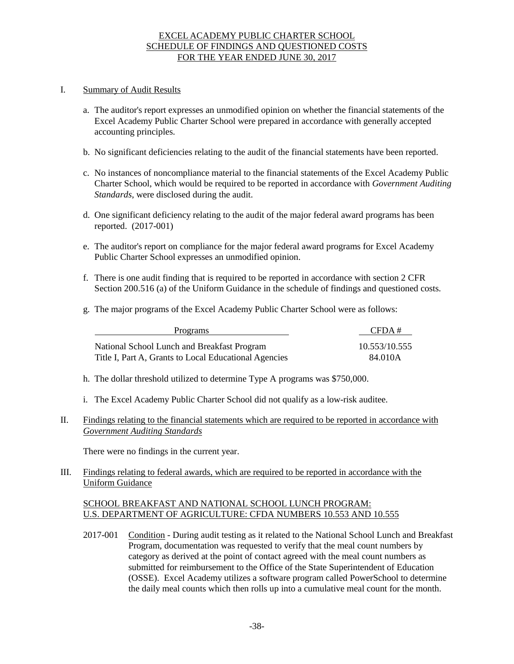| EXCEL ACADEMY PUBLIC CHARTER SCHOOL                                                |
|------------------------------------------------------------------------------------|
| <b>WASHINGTON, DC</b>                                                              |
|                                                                                    |
| <b>COMPARATIVE FINANCIAL STATEMENTS AND</b><br><b>INDEPENDENT AUDITOR'S REPORT</b> |
| FOR THE YEARS ENDED JUNE 30, 2017 AND 2016                                         |
|                                                                                    |

KENDALL, PREBOLA AND JONES Certified Public Accountants PO BOX 259 BEDFORD, PENNSYLVANIA 15522-0259 (814) 623-1880 FAX (814) 623-7548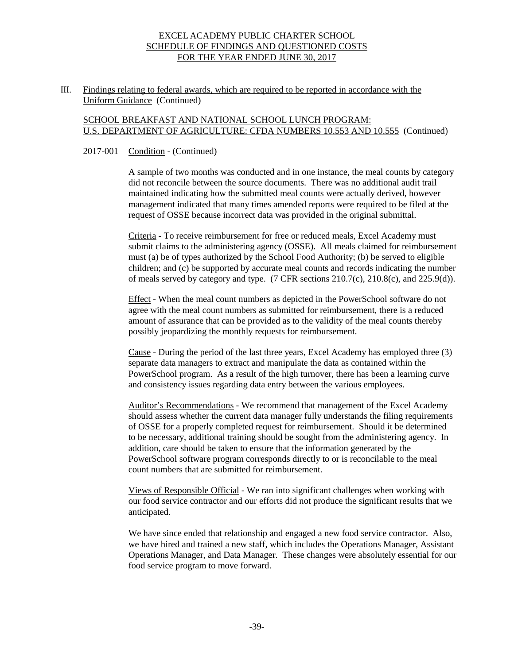# I N D E X

| <b>Independent Auditor's Report</b>                                                                                                                                                                                      | $1 - 2$        |
|--------------------------------------------------------------------------------------------------------------------------------------------------------------------------------------------------------------------------|----------------|
| Comparative Statements of Financial Position, June 30, 2017 and 2016                                                                                                                                                     | 3              |
| Comparative Statements of Activities, For the Years Ended June 30, 2017 and 2016                                                                                                                                         | $\overline{4}$ |
| Comparative Statements of Cash Flows, For the Years Ended June 30, 2017 and 2016                                                                                                                                         | 5              |
| <b>Notes to Financial Statements</b>                                                                                                                                                                                     | $6 - 24$       |
| Supplemental Information                                                                                                                                                                                                 |                |
| Schedule 1 - Comparative Schedules of Functional Expenses, For the Years Ended<br>June 30, 2017 and 2016                                                                                                                 | $25 - 26$      |
| Schedule 2 - Comparative Schedules of Average Cost per Student, For the Years Ended<br>June 30, 2017 and 2016                                                                                                            | 27             |
| Schedule 3 - Schedule of Expenditures of Federal Awards, For the Year Ended<br>June 30, 2017                                                                                                                             | 28-29          |
| Notes to Schedule of Expenditures of Federal Awards                                                                                                                                                                      | 30-32          |
| Independent Auditor's Report on Internal Control over Financial Reporting and on<br>Compliance and Other Matters Based on an Audit of Financial Statements<br>Performed in Accordance with Government Auditing Standards | 33-34          |
| Independent Auditor's Report on Compliance for Each Major Program and on<br>Internal Control over Compliance Required by the Uniform Guidance                                                                            | 35-36          |
| Summary Schedule of Prior Audit Findings, For the Year Ended June 30, 2017                                                                                                                                               | 37             |
| Schedule of Findings and Questioned Costs, For the Year Ended June 30, 2017                                                                                                                                              | 38-39          |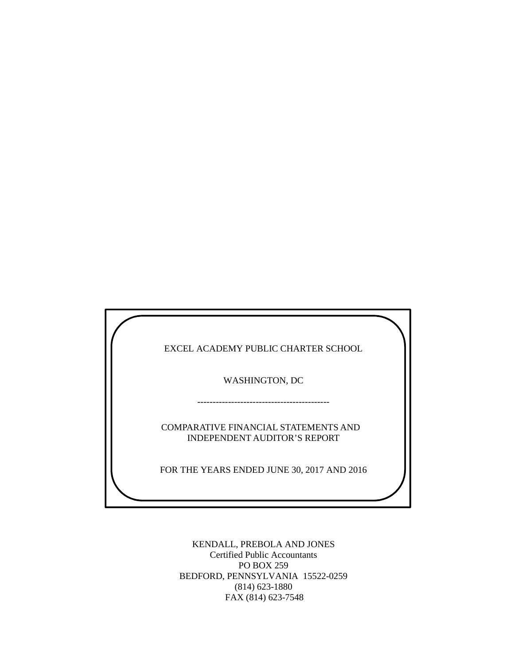# Kendall, Prebola and Jones, LLC

Certified Public Accountants

Board of Trustees Excel Academy Public Charter School 2501 Martin Luther King, Jr., Avenue, SE Washington, DC 20020

#### INDEPENDENT AUDITOR'S REPORT

#### *Report on the Financial Statements*

We have audited the accompanying financial statements of the Excel Academy Public Charter School, (a nonprofit organization) which comprise the statements of financial position as of June 30, 2017 and 2016, and the related statements of activities and cash flows for the years then ended, and the related notes to the financial statements.

#### *Management's Responsibility for the Financial Statements*

Management is responsible for the preparation and fair presentation of these financial statements in accordance with accounting principles generally accepted in the United States of America; this includes the design, implementation, and maintenance of internal control relevant to the preparation and fair presentation of financial statements that are free from material misstatement, whether due to fraud or error.

#### *Auditor's Responsibility*

Our responsibility is to express an opinion on these financial statements based on our audits. We conducted our audits in accordance with auditing standards generally accepted in the United States of America and the standards applicable to financial audits contained in *Government Auditing Standards*, issued by the Comptroller General of the United States. Those standards require that we plan and perform the audit to obtain reasonable assurance about whether the financial statements are free from material misstatement.

An audit involves performing procedures to obtain audit evidence about the amounts and disclosures in the financial statements. The procedures selected depend on the auditor's judgment, including the assessment of the risks of material misstatement of the financial statements, whether due to fraud or error. In making those risk assessments, the auditor considers internal control relevant to the entity's preparation and fair presentation of the financial statements in order to design audit procedures that are appropriate in the circumstances, but not for the purpose of expressing an opinion on the effectiveness of the entity's internal control. Accordingly, we express no such opinion. An audit also includes evaluating the appropriateness of accounting policies used and the reasonableness of significant accounting estimates made by management, as well as evaluating the overall presentation of the financial statements.

We believe that the audit evidence we have obtained is sufficient and appropriate to provide a basis for our audit opinion.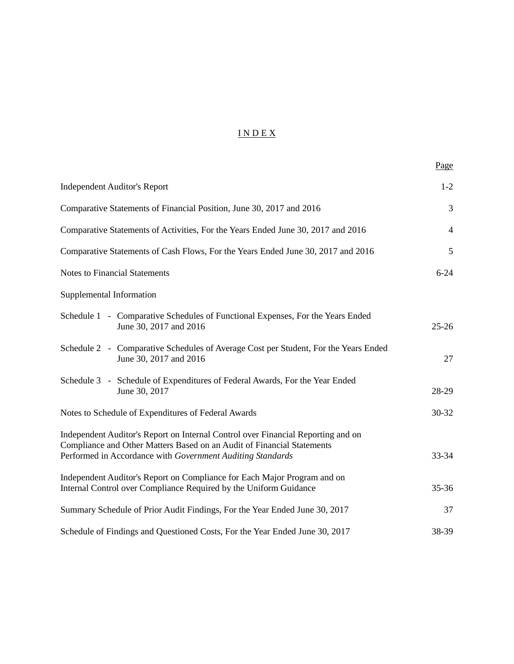# *Opinion Opinion*

In our opinion, the financial statements referred to above present fairly, in all material respects, the In our opinion, the financial statements referred to above present fairly, in all material respects, the financial position of the Excel Academy Public Charter School, as of June 30, 2017 and 2016, and the mancial position of the excel Academy Public Charter School, as of June 30, 2017 and 2016, and changes in its net assets and its cash flows for the years then ended in accordance with accounting principles generally accepted in the United States of America. fin our opinion, the miancial statements referred to above present raily, in an inaterial respects, the changes in its net assets and its cash hows for the years then ended in accordance with accepted  $\mathbb{R}$ .

# *Other Matters Other Matters*

Our audits were conducted for the purpose of forming an opinion on the financial statements as a whole. The supplemental schedules of functional expenses and schedules of average cost per student are presented for purposes of additional analysis and are not a required part of the financial statements. In addition, the accompanying schedule of expenditures of federal awards as required by Title 2 U.S. *Code of Federal* Regulations (CFR) Part 200, *Uniform Administrative Requirements, Cost Principles, and Audit Requirements for Federal Awards*, is presented for purposes of additional analysis and is not a required part of the financial statements. Such information is the responsibility of management and was derived from and relates directly to the underlying accounting and other records used to prepare the financial statements. The information has been subjected to the auditing procedures applied in the audit of the financial statements and certain additional procedures, including comparing and reconciling such information directly to the underlying accounting and other records used to prepare the financial statements or to the financial statements themselves, and other additional procedures in accordance with auditing standards generally accepted in the United States of America. In our opinion, the information is fairly stated in all material respects in relation to the financial statements as a whole. Our audits were conducted for the purpose of forming an opinion on the financial statements as a whole. Our audits were conducted for the purpose of forming an opinion on the financial statements as a whole.

#### *Other Reporting Required by Government Auditing Standards*

In accordance with *Government Auditing Standards*, we have also issued our report dated November 29, 2017, on our consideration of the Excel Academy Public Charter School's internal control over financial reporting and on our tests of its compliance with certain provisions of laws, regulations, contracts and grant agreements and other matters. The purpose of that report is solely to describe the scope of our testing of internal control over financial reporting and compliance and the results of that testing, and not to provide an opinion on the effectiveness of internal control over financial reporting or on compliance. That report is an integral part of an audit performed in accordance with Government Auditing Standards in considering the Excel Academy Public Charter School's internal control over financial reporting and compliance. In accordance with Government Auditing Standards, we have also issued our report dated November 29,

Kendal, Prebihand Jones

Kendall, Prebola and Jones Kendall, Prebola and Jones Certified Public Accountants Certified Public Accountants

Bedford, Pennsylvania Bedford, Pennsylvania November 29, 2017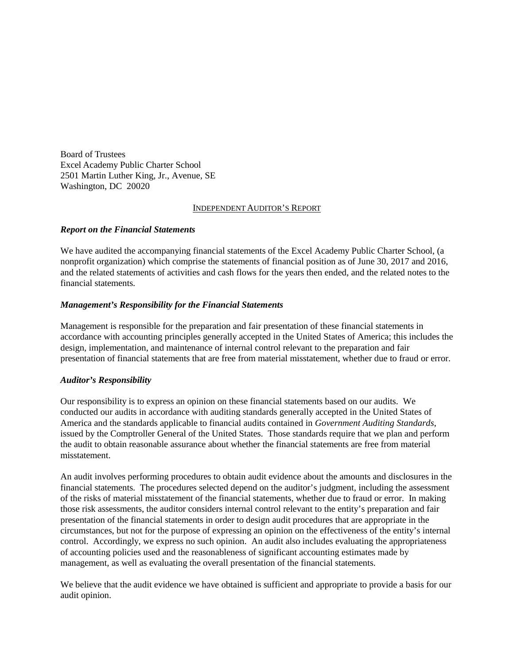### EXCEL ACADEMY PUBLIC CHARTER SCHOOL COMPARATIVE STATEMENTS OF FINANCIAL POSITION JUNE 30, 2017 AND 2016

|                                       | June 30, 2017    | June 30, 2016   |
|---------------------------------------|------------------|-----------------|
| <b>ASSETS</b>                         |                  |                 |
| <b>Current Assets:</b>                |                  |                 |
| Cash and Cash Equivalents             | \$<br>3,489,748  | \$<br>3,885,272 |
| <b>Accounts and Grants Receivable</b> | 467,528          | 580,358         |
| Promises Receivable                   | 5,381            | 14,416          |
| Prepaid Expenses                      | 26,558           | 11,118          |
| <b>Total Current Assets</b>           | \$<br>3,989,215  | 4,491,164<br>\$ |
| <b>Fixed Assets:</b>                  |                  |                 |
| Furniture, Equipment and Website      | \$<br>1,222,072  | \$<br>1,105,285 |
| Leasehold Improvements                | 374,561          | 358,718         |
| Less: Accumulated Depreciation        |                  |                 |
| and Amortization                      | (905, 458)       | (704, 947)      |
| <b>Total Fixed Assets</b>             | \$<br>691,175    | \$<br>759,056   |
| Other Assets:                         |                  |                 |
| Deposits                              | \$<br>89,990     | 89,990<br>\$    |
| <b>Total Other Assets</b>             | \$<br>89,990     | \$<br>89,990    |
| <b>TOTAL ASSETS</b>                   | 4,770,380        | 5,340,210       |
| <b>LIABILITIES AND NET ASSETS</b>     |                  |                 |
| <b>Current Liabilities:</b>           |                  |                 |
| <b>Accounts Payable</b>               | \$<br>205,723    | \$<br>456,461   |
| Payroll Taxes and Related Liabilities | 51,822           | 50,972          |
| <b>Accrued Salaries</b>               | 668,598          | 633,584         |
| <b>Accrued Vacation</b>               | 82,172           | 45,111          |
| <b>Deferred Revenue</b>               | 37,765           |                 |
| Deferred Activity Fees                |                  | 9,683           |
| <b>Total Current Liabilities</b>      | \$1,046,080      | 1,195,811       |
| <b>Total Liabilities</b>              | 1,046,080<br>\$. | \$<br>1,195,811 |
| Net Assets:                           |                  |                 |
| Unrestricted                          | \$<br>3,722,014  | \$<br>4,143,332 |
| <b>Temporarily Restricted</b>         | 2,286            | 1,067           |
| <b>Total Net Assets</b>               | 3,724,300        | 4,144,399<br>\$ |
| TOTAL LIABILITIES AND NET ASSETS      | 4,770,380        | 5,340,210       |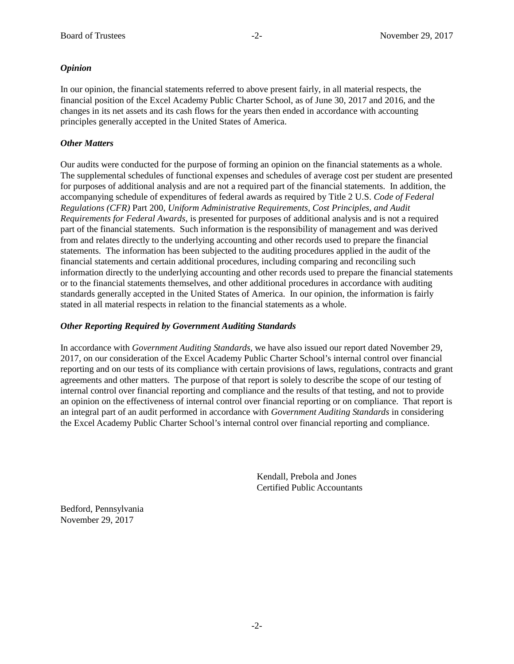#### EXCEL ACADEMY PUBLIC CHARTER SCHOOL COMPARATIVE STATEMENTS OF ACTIVITIES FOR THE YEARS ENDED JUNE 30, 2017 AND 2016

|                                         | June 30, 2017              |                           | June 30, 2016    |                  |                           |                  |
|-----------------------------------------|----------------------------|---------------------------|------------------|------------------|---------------------------|------------------|
|                                         | Unrestricted               | Temporarily<br>Restricted | Total            | Unrestricted     | Temporarily<br>Restricted | Total            |
| Revenues and Other Support:             |                            |                           |                  |                  |                           |                  |
| Tuition - Per Pupil Funding Allocation  | <sup>\$</sup><br>9,539,557 | \$                        | 9,539,557<br>S.  | 9,628,607<br>\$  | \$                        | 9,628,607        |
| Tuition - Facilities Allowance          | 2,193,048                  |                           | 2,193,048        | 2,289,892        |                           | 2,289,892        |
| <b>Federal Entitlements and Grants</b>  | 1,247,867                  |                           | 1,247,867        | 1,400,750        |                           | 1,400,750        |
| <b>State Government Grants</b>          | 117,185                    |                           | 117,185          | 185,028          |                           | 185,028          |
| <b>Service Fees</b>                     | 72,954                     |                           | 72,954           |                  |                           |                  |
| Philanthropy Grants and Contributions   | 2,694                      | 15,234                    | 17,928           | 12,520           | 14,537                    | 27,057           |
| Donated Services and Materials          |                            |                           |                  | 500              |                           | 500              |
| Student Program Fees and Other          | 50,957                     |                           | 50,957           | 70,480           |                           | 70,480           |
| <b>Interest Income</b>                  | 9,492                      |                           | 9,492            | 7,915            |                           | 7,915            |
| Gain/(Loss) on Disposal of Assets       |                            |                           |                  | (9,316)          |                           | (9,316)          |
| Fundraisers:                            |                            |                           |                  |                  |                           |                  |
| <b>Sales</b>                            | \$<br>5,516                | \$                        | \$<br>5,516      | \$<br>7,863      | \$                        | 7,863<br>\$      |
| Less: Cost of Direct Benefits to Donors | (4,020)                    |                           | (4,020)          | (4, 564)         |                           | (4, 564)         |
| Net Revenue from Fundraisers            | 1,496                      |                           | 1,496            | 3,299            |                           | 3,299            |
| Net Assets Released from Restrictions - |                            |                           |                  |                  |                           |                  |
| Satisfaction of Program Restrictions    | 14,015                     | (14, 015)                 |                  | 24,660           | (24,660)                  |                  |
| <b>Total Revenues and Other Support</b> | 13,249,265                 | 1,219                     | 13,250,484       | \$<br>13,614,335 | (10, 123)                 | \$13,604,212     |
| Expenses and Losses:                    |                            |                           |                  |                  |                           |                  |
| <b>Educational Services</b>             | \$<br>12,542,542           | $\mathcal{S}$             | 12,542,542<br>\$ | 11,946,069<br>\$ | $\boldsymbol{\mathsf{S}}$ | 11,946,069       |
| General and Administrative              | 1,055,383                  |                           | 1,055,383        | 1,065,722        |                           | 1,065,722        |
| Fundraising                             | 72,658                     |                           | 72,658           | 116,455          |                           | 116,455          |
| <b>Total Expenses</b>                   | 13,670,583<br>\$           |                           | 13,670,583       | 13,128,246<br>\$ |                           | 13,128,246<br>\$ |
| Changes in Net Assets                   | (421,318)<br><sup>\$</sup> | $\mathbb{S}$<br>1,219     | \$<br>(420,099)  | \$<br>486,089    | \$<br>(10, 123)           | 475,966<br>\$    |
| Net Assets, Beginning of Year           | 4,143,332                  | 1,067                     | 4,144,399        | 3,657,243        | 11,190                    | 3,668,433        |
| Net Assets, End of Year                 | 3,722,014                  | 2,286                     | 3,724,300        | 4,143,332<br>\$  | 1,067                     | 4,144,399        |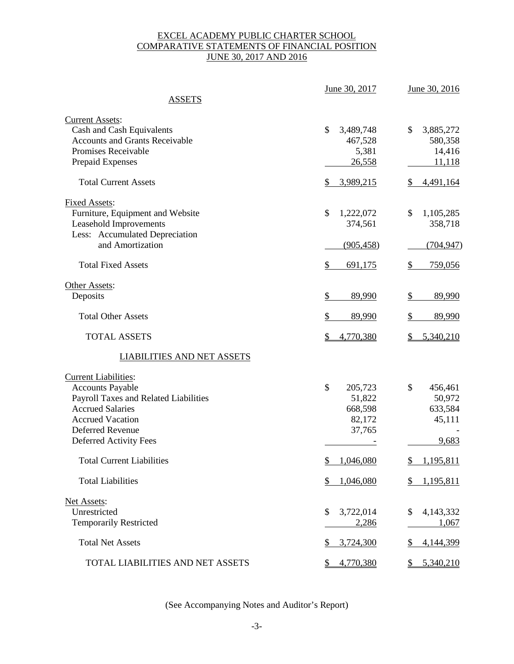### EXCEL ACADEMY PUBLIC CHARTER SCHOOL COMPARATIVE STATEMENTS OF CASH FLOWS FOR THE YEARS ENDED JUNE 30, 2017 AND 2016

|                                                                                                                                                                                                                                                                                                                                                                                                                                                                                                                                            | June 30, 2017                                                                                          | June 30, 2016                                                                                           |
|--------------------------------------------------------------------------------------------------------------------------------------------------------------------------------------------------------------------------------------------------------------------------------------------------------------------------------------------------------------------------------------------------------------------------------------------------------------------------------------------------------------------------------------------|--------------------------------------------------------------------------------------------------------|---------------------------------------------------------------------------------------------------------|
| <b>Cash Flows from Operating Activities:</b>                                                                                                                                                                                                                                                                                                                                                                                                                                                                                               |                                                                                                        |                                                                                                         |
| Changes in Net Assets                                                                                                                                                                                                                                                                                                                                                                                                                                                                                                                      | \$<br>(420,099)                                                                                        | \$<br>475,966                                                                                           |
| Adjustments to Reconcile Changes in Net Assets<br>to Net Cash Flows from Operating Activities:                                                                                                                                                                                                                                                                                                                                                                                                                                             |                                                                                                        |                                                                                                         |
| Depreciation and Amortization<br>(Gain)/Loss on Disposal of Assets<br>Accounts and Grants Receivable - (Increase)/Decrease<br>Promises Receivable - (Increase)/Decrease<br>Prepaid Expenses - (Increase)/Decrease<br>Deposits - (Increase)/Decrease<br>Accounts Payable - Increase/(Decrease)<br>Payroll Taxes and Related Liabilities - Increase/(Decrease)<br>Accrued Salaries - Increase/(Decrease)<br>Accrued Vacation - Increase/(Decrease)<br>Deferred Revenue - Increase/(Decrease)<br>Deferred Activity Fees - Increase/(Decrease) | 200,511<br>112,830<br>9,035<br>(15, 440)<br>(250, 738)<br>850<br>35,014<br>37,061<br>37,765<br>(9,683) | 211,642<br>9,316<br>(301,009)<br>1,762<br>665<br>89,454<br>58,866<br>2,254<br>85,907<br>24,844<br>4,018 |
| Net Cash Flows from Operating Activities                                                                                                                                                                                                                                                                                                                                                                                                                                                                                                   | (262, 894)<br>S                                                                                        | \$<br>663,685                                                                                           |
| <b>Cash Flows from Investing Activities:</b>                                                                                                                                                                                                                                                                                                                                                                                                                                                                                               |                                                                                                        |                                                                                                         |
| <b>Purchase of Fixed Assets</b>                                                                                                                                                                                                                                                                                                                                                                                                                                                                                                            | (132, 630)<br>\$                                                                                       | (181,970)<br>\$                                                                                         |
| Net Cash Flows from Investing Activities                                                                                                                                                                                                                                                                                                                                                                                                                                                                                                   | \$<br>(132,630)                                                                                        | \$<br>(181,970)                                                                                         |
| Net Increase/(Decrease) in Cash and Cash Equivalents                                                                                                                                                                                                                                                                                                                                                                                                                                                                                       | $\mathcal{S}$<br>(395, 524)                                                                            | \$<br>481,715                                                                                           |
| Cash and Cash Equivalents at Beginning of Year                                                                                                                                                                                                                                                                                                                                                                                                                                                                                             | 3,885,272                                                                                              | 3,403,557                                                                                               |
| Cash and Cash Equivalents at End of Year                                                                                                                                                                                                                                                                                                                                                                                                                                                                                                   | \$3,489,748                                                                                            | 3,885,272                                                                                               |

Supplemental Disclosures:

a) No income taxes were paid during the years ended June 30, 2017 and 2016.

b) No interest was paid during the years ended June 30, 2017 and 2016.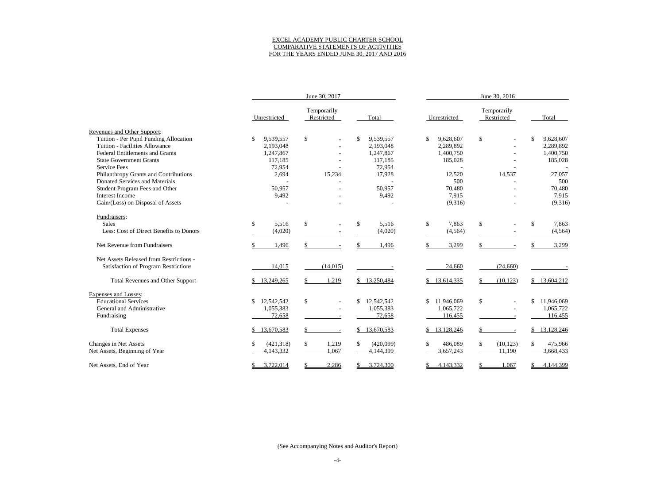The Excel Academy Public Charter School (Charter School), a District of Columbia Not-for-Profit Corporation was incorporated on February 28, 2006, exclusively for educational purposes. The Charter School operates as part of the District of Columbia Public School system with its purpose of providing an outstanding academic education to pre-school to eighth grade girls in the District of Columbia. In an effort to impact the inter-generational patterns of poverty, Excel Academy has been organized to provide an excellent academic and complementary social and enrichment program to prepare scholars to succeed and effectively compete in highly competitive high schools, colleges, and universities.

The Charter School's primary sources of support are local appropriations for charter schools from the District of Columbia. The Charter School also receives federal entitlement funding through the Office of the State Superintendent of Education.

### 1. SUMMARY OF SIGNIFICANT ACCOUNTING POLICIES:

The significant accounting policies of the Charter School are summarized below:

(a) Basis of Accounting and Presentation:

The accompanying financial statements have been prepared on the accrual basis of accounting, which presents financial position, activities, functional expenses, and cash flows in accordance with accounting principles generally accepted in the United States of America.

(b) Revenue Recognition:

### **Contributions**

The Charter School has adopted Financial Accounting Standards Board ASC No. 958-605-25, *Accounting for Contributions Received and Contributions Made.* As such, contributions are recognized as revenue when they are received or unconditionally pledged.

All contributions are available for unrestricted use unless specifically restricted by the donor. Contributions and promises to give with donor imposed conditions are recognized as unrestricted support when the conditions on which they depend are substantially met. Contributions and promises to give with donor imposed restrictions are reported as temporarily restricted support. Unconditional promises to give due in the next year are recorded at their net realizable value. An allowance for uncollectible contributions receivable is provided based upon management's judgment, including such factors as prior collection history and type of contribution.

The Charter School reports gifts of equipment as unrestricted support unless explicit donor stipulations specify how the donated assets must be used. The Charter School reports expirations of donor restrictions when the donated or acquired assets are placed in service.

# **Federal and Charter School Funding**

The Charter School receives a student allocation from the District of Columbia as well as federal funding to cover the cost of academic expenses. The student allocation is on a per pupil basis and includes the academic year funding, special education funding, at-risk students, and a facilities allotment. The Charter School recognized this funding in the year in which the school term is conducted. Funding received in advance of the school term is recorded as a refundable advance. Federal entitlements are recognized based on the allowable costs incurred.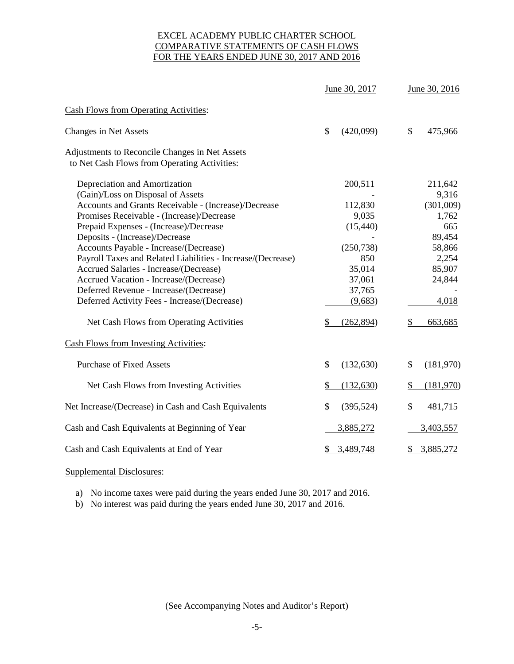### 1. SUMMARY OF SIGNIFICANT ACCOUNTING POLICIES: (Continued)

### (b) Revenue Recognition: (Continued)

#### **Before and After Care Fees**

The Charter School offers fee-based extended day programming for students in grades preschool through fifth grade. The hours of operation are structured to coincide with the typical workday of parents of the students. Both the before and after care programs offer food services. Tuition is collected based on a monthly fee. The amount of tuition ranges from full tuition to reduced tuition based on the National School Lunch Program guidelines.

#### (c) Corporate Taxes:

The Excel Academy Public Charter School is exempt from federal and state income taxes (other than on unrelated business income) under the provisions of Section  $501(c)(3)$  of the Internal Revenue Code and similar state income tax laws. Exemption from District of Columbia income taxes was granted to the Charter School effective December 31, 2007. Accordingly, no provisions for income taxes have been provided for in the accompanying financial statements. The Charter School has been classified as other than a private foundation under Section 509(a)(1) of the Internal Revenue Code and accordingly contributions qualify as a charitable tax deduction by the contributor under Section  $170(b)(i)(A)(ii)$ . The Charter School did not have any net unrelated business income for the years ended June 30, 2017 and 2016.

The Excel Academy Public Charter School is also exempt from District of Columbia sales and personal property taxes.

(d) Grants:

### **Foundation Grants**

Grant revenues result primarily from foundation grants and are recognized as increases in unrestricted net assets unless use of related assets is limited by donor-imposed restrictions. Expenses are reported as decreases in unrestricted net assets. Expiration of temporary restrictions (i.e. the donor-stipulated purpose has been fulfilled and/or the stipulated time period has elapsed) is reported as net assets released from restrictions between the applicable classes of net assets.

### **Government Grants**

The Charter School receives grants from federal and state governmental agencies for various purposes in the form of exchange transactions. Receivables related to grant awards are recorded to the extent unreimbursed expenses have been incurred for the purposes specified by an approved grant award. Funds received in advance for these types of grants and those that are unexpended as of year-end are reflected as a deferred revenue.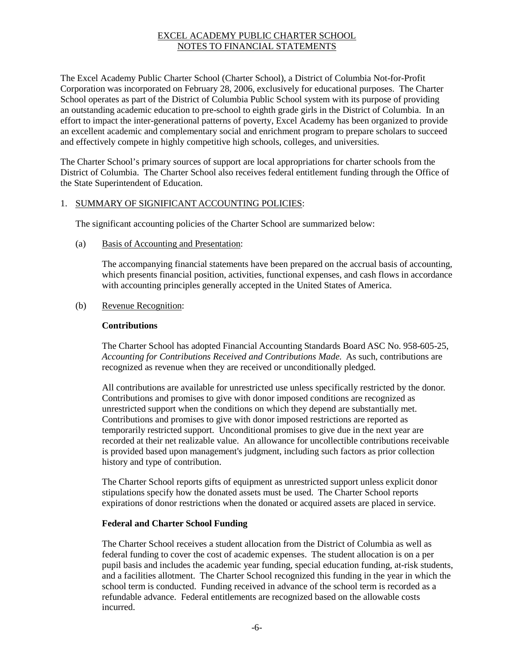### 1. SUMMARY OF SIGNIFICANT ACCOUNTING POLICIES: (Continued)

### (d) Grants: (Continued)

These grants are subject to financial and compliance audits by the grantor agencies. Such audits could result in a request for reimbursement by the agency for expenditures disallowed under the terms and conditions of the appropriate grantor. No provision for possible adjustment has been made in the accompanying financial statements because, in the opinion of management, such adjustment, if any, would not have a material effect on the financial statements.

### (e) Net Assets:

The Charter School has adopted Financial Accounting Standards Board ASC No. 958-205-05, *Financial Statements of Not-for-Profit Organizations*. Under FASB ASC No. 958-205-05, the Charter School is required to report information regarding its financial position and activities according to three classes of net assets.

Net assets and revenues, expenses, gains, and losses are classified based on the existence or absence of donor-imposed restrictions. Accordingly, net assets of the Charter School and changes therein are classified and reported as follows:

### **Unrestricted Net Assets**

Net assets that are not subject to donor-imposed restrictions and over which the Board of Trustees has discretionary control. This classification includes net assets subject to donorimposed conditions, which have been met in the current year and net assets subject to donorimposed restrictions that have been released from restrictions.

### **Temporarily Restricted Net Assets**

Net assets subject to donor-imposed restrictions that may or will be met, either by actions of the Charter School and/or the passage of time. When a restriction expires, temporarily restricted net assets are reclassified to unrestricted net assets and reported in the statement of activities as net assets released from restrictions.

Temporarily restricted net assets were available at year end for the following purposes:

|                                 | June 30, 2017 | June 30, 2016 |  |
|---------------------------------|---------------|---------------|--|
| <b>Community Service</b>        | 936<br>S      | 936<br>S      |  |
| <b>Monarch Butterfly Garden</b> | 850           |               |  |
| Tennis - Girls Rule the Court   | 500           |               |  |
| <b>Excel Family Literacy</b>    |               | 131           |  |
| Total                           | 2.286         | .06           |  |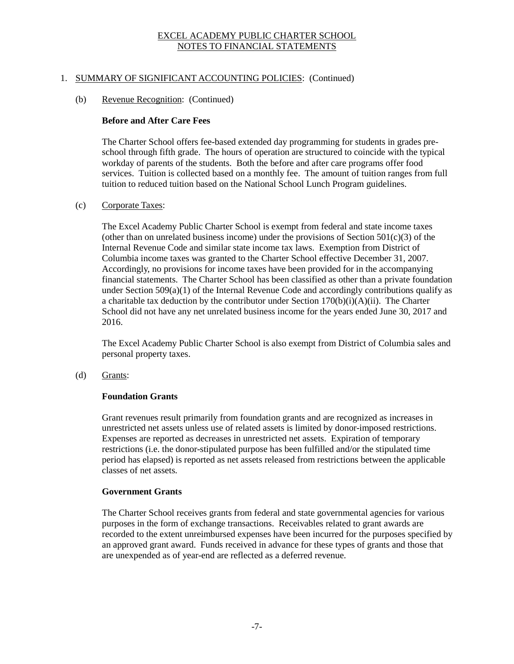### 1. SUMMARY OF SIGNIFICANT ACCOUNTING POLICIES: (Continued)

### (e) Net Assets: (Continued)

#### **Temporarily Restricted Net Assets** (Continued)

Net assets were released from donor restrictions by incurring expenses satisfying the restricted purposes, the passage of time, or by occurrence of other events specified by donors for the following programs:

|                                      | June 30, 2017 |       | June 30, 2016 |        |
|--------------------------------------|---------------|-------|---------------|--------|
| Uniforms and Sweaters                | \$            | 9,430 | \$            |        |
| <b>Parent Engagement Strategy</b>    |               | 3,628 |               | 18,988 |
| <b>Bus Transportation</b>            |               | 477   |               |        |
| School Garden Project                |               | 300   |               | 433    |
| <b>Excel Family Literacy</b>         |               | 131   |               | 1,869  |
| <b>Monarch Butterfly Garden</b>      |               | 49    |               |        |
| School "Store" Materials             |               |       |               | 1,800  |
| Development of Middle School Program |               |       |               | 1,506  |
| <b>Community Service</b>             |               |       |               | 64     |
| Total                                |               | 4.01: |               | 24.660 |

#### **Permanently Restricted Net Assets**

Net assets subject to donor-imposed stipulations that requires the net assets be maintained permanently by the Charter School. Generally, the donors of these assets permit the use of all or part of the income earned on any related investments for general or specific purposes. The Charter School did not have any permanently restricted net assets as of June 30, 2017 and 2016.

### (f) Donated Services and Materials:

Donated services and materials are recognized as contributions in accordance with FASB ASC 958, *Accounting for Contributions Received and Contributions Made*, if the services received create or enhance nonfinancial assets or require specialized skills, and are provided by individuals possessing those skills, and would typically need to be purchased if not provided by donation. Contributed services and promises to give services that do not meet the above criteria are not recognized. The time contributed by the Charter School's Board of Trustees is uncompensated and is not reflected as donated services. In-kind contributions are recorded in the statement of activities at estimated fair value and recognized as revenue and expense (or an asset) in the period they are received.

The estimated value of donated services and materials has been recorded in the financial statements as follows:

|           | June 30, 2017            | June 30, 2016 |
|-----------|--------------------------|---------------|
| Furniture | $\overline{\phantom{0}}$ |               |
| Total     | $\overline{\phantom{0}}$ |               |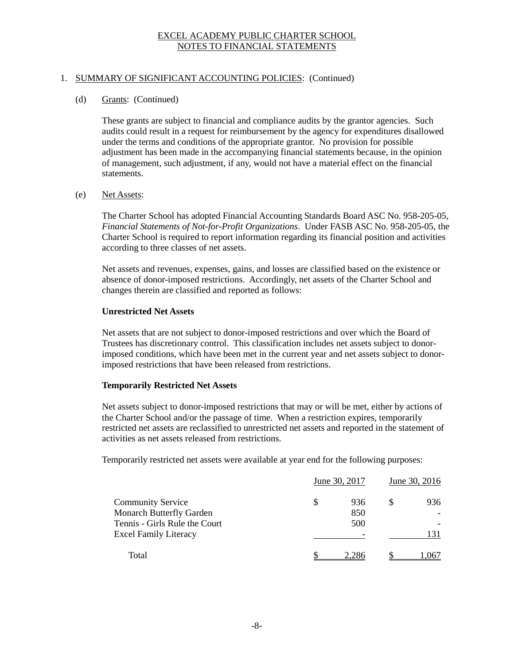### 1. SUMMARY OF SIGNIFICANT ACCOUNTING POLICIES: (Continued)

### (g) Basic Programs:

The Board of Trustees, Chief Executive Officer, faculty, and staff at Excel Academy Public Charter School are committed to providing a strong single-sex public education alternative for girls living and learning in Washington, DC. Excel Academy firmly believes that all students can achieve great academic success. We are determined to provide girls in Washington, DC, with the highest quality single-sex education possible.

Excel Academy offers a unique single-sex educational model for female students in the District. Based on an early educational intervention model that offers preschool for three-year-olds to promote school readiness, Excel implements a curriculum proven to build student achievement in reading, writing, math, and to teach ethics, personal responsibility, and healthy choices.

We use early and frequent assessments to gauge students' progress and identify academic needs for classrooms and individual students, and respond to the data such assessments provide with immediacy. We hire highly skilled teachers, participate in ongoing professional development, and create and maintain a community of respect and collaboration with our staff and parents. We embrace students' parents and guardians as essential partners in their student's education, and we reach out to families and the wider community to support Excel Academy's girls.

Founded by Kaye Savage, Excel Academy was authorized and approved by the DC Public Charter School Board in 2007. In August 2008, the school opened in a church basement with 134 preschool, pre-kindergarten and kindergarten girls. In 2009, the school took partial occupancy of the Birney School on Martin Luther King, Jr. Avenue SE, in the heart of the Barry Farm Neighborhood in Anacostia. From 2008-2016, the school grew to serve over 700 preschool through grade 7 scholars.

In August 2013, preparing for growth through grade 8, the Charter School expanded to occupy the entire 86,000 square foot building. Excel Academy continues to grow in student enrollment and staff size every year.

Excel Academy provides scholars with a strong standards-based academic program, gender specific teaching and instruction, and leadership and extracurricular opportunities. Two teaching faculty members are assigned to each classroom from preschool to third grade. This structure provides a low student to teacher ratio and allows teachers to deliver instruction appropriately suited to individual student needs.

Students advance based on mastery of the curriculum and progress is measured continuously using standardized assessments, rubrics and curriculum checklists. Developing and applying early literacy and numeracy skills in a highly structured setting is a critical component of our academic program in order to ensure strong foundational skills in the core subjects: reading, language, writing, mathematics, science and social studies.

We believe that the sooner girls are enrolled in Excel Academy, the greater the impact on their academic achievement and personal development. Excel Academy begins with the earliest learners, pre-school, pre-kindergarten and kindergarten, to allow for the movement of students who may be ready for more advanced academic work or for those who may need to be grouped with younger students based on academic and/or social-emotional needs.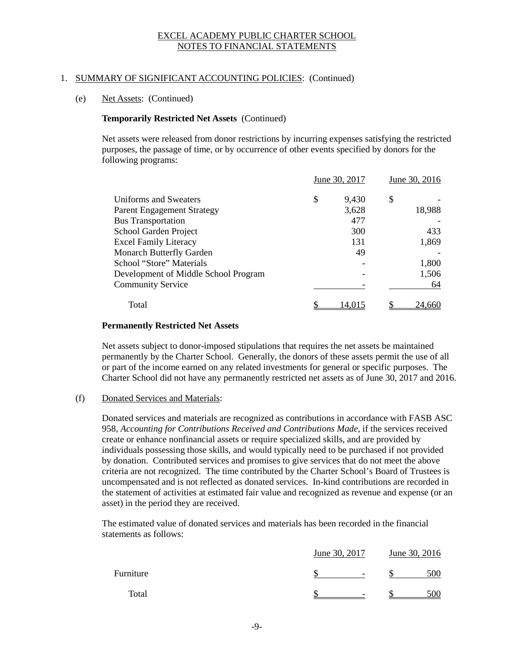# 1. SUMMARY OF SIGNIFICANT ACCOUNTING POLICIES: (Continued)

# (g) Basic Programs: (Continued)

Much of the student success in the early years of school at Excel Academy is connected to intensive and comprehensive reading and writing teaching and instruction. Students receive direct instruction in phonics, decoding, vocabulary, handwriting, writing, and comprehension. Through a variety of learning techniques, small group instruction, center work, read aloud and writer's workshop, students are equipped with the necessary tools to read. Excel Academy is committed to ensuring that every child is ready to read by kindergarten and is a developing reader before entering first grade. Students who do not demonstrate preparedness for reading will not be promoted to kindergarten.

Excel Academy has a very strong set of core values and procedures governing all areas of school life. We are committed to providing:

- **A Rigorous Single Gender Model** Excel Academy's unique single-sex environment is supported by extensive research and rooted in high academic achievement and learning for every student that permits staff to focus teaching strategies directed on the learning needs and styles of girls.
- **An Early Educational Intervention Program** Starting with students who are three years old, Excel Academy offers an instructional program that promotes school readiness in literacy, math, and social development.
- **More Time on Task** *-* Students at Excel Academy are in academically rigorous learning environments for longer school days and for an extended year. A relentless focus on the details allows students and teachers to spend more time on task.
- **A Standards Based Curriculum** Our academic program is research-proven and has demonstrated significant student achievement in reading, writing, and math.
- **Early and Frequent Assessments** Excel Academy teachers know the power of assessing student progress and using data to track student performance. We identify students' academic needs early and adjust teaching strategies accordingly. This system of assessment allows us to respond with targeted intervention and immediacy.
- **A Team of Highly Skilled Teachers** The Excel Team receives ongoing professional development to build skills and create and maintain a community of respect and collaboration with our staff and parents.
- **A School Wide Character Development Program** Excel Academy continues to focus on our character education program based on the core values: *Integrity, Discipline, Enjoyment, Achievement, Leadership, and Sisterhood (IDEALS)*. The IDEALS are reinforced throughout the day, beginning with the morning meeting and continuing with school-wide behavior expectations. We devote time each day to explicit teaching and modeling of our IDEALS.
- **Co-curricular Education** Excel Academy provides a wide and inclusive pairing of co-curricular offerings that complement and support the educational, social, and emotional growth of our scholars. These offerings have included Music, Art, Physical Education, and Technology.
- **Support Services** Excel Academy's special education program is committed to meeting the goals and objectives of every child's individual educational and socialemotional needs. A team of Special Educational Staff, Social Workers, and family engagement support are provided. Additional related services, including speech/ language therapy, physical therapy, and occupational therapy, are all provided.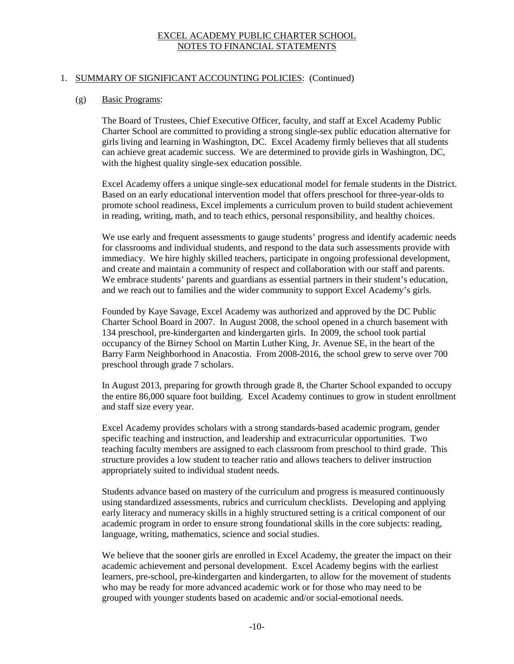# 1. SUMMARY OF SIGNIFICANT ACCOUNTING POLICIES: (Continued)

- (g) Basic Programs: (Continued)
	- **Wellness Initiative** Weekly Physical Education focused on activities that enhance body awareness, strength and endurance as well as balance and coordination.
	- **Enrichment Opportunities** Excel Academy After School Clubs and Activities are designed to extend the school day and provide scholars enrichment opportunities. Led by teachers, after school staff, and community professionals, creative programming encourages scholars to explore passions and interests outside of the classroom. Girls who participate in After School Clubs and Activities form bonds and allegiances with likeminded sister scholars in shared experiences that help develop teamwork and sisterhood.
	- **Parent Engagement** We embrace students' parents and guardians as essential partners in the education of their children and we engage families and the wider community to support Excel's scholars.

Excel cultivates rich partnerships with local organizations committed to advancing the mission of girls' education, providing learning opportunities for scholars in and outside of the classroom.

Excel is committed to looking forward by critically assessing our curriculum and teaching methods. We have strengthened aspects of the curriculum that have proven successful while remaining critical of those aspects that did not perform to the standard that Excel requires. We believe that this process has allowed us to create an exceptional program that provides the solid academic foundation that is essential for our scholars.

Following extensive reviews of educational research, we believe that a high quality, single sex school for girls facilitates academic and personal development. Given the proper support, all children can develop a love of learning and meet high academic and personal standards. Minority girls living in high poverty neighborhoods, stand to benefit from a learning environment that fosters courage, respect, integrity, scholarship and perseverance. With a solid academic foundation and essential life skills, Excel Academy's students are poised to break the chains of underachievement and free themselves and their children from povertylimited lives. Our program is geared to significantly impact the intergenerational patterns of poverty in our students and the larger community we serve.

# (h) Functional Expense Allocation Policies and Procedures:

Management has elected to prepare a schedule of functional expenses that is presented as supplemental information to the financial statements. The schedule of functional expenses presents an allocation of each expense category between program services, general and administrative, and fundraising activities. Program service costs pertain to educating students. General and administrative costs pertain to supporting activities. Fundraising costs relate to fundraising activities such as special events, fundraisers and the soliciting of contributions.

Management has established functional expense allocation policies and procedures based on a reasonable analysis of cost drivers and reasonable allocation estimates based on financial results and industry standards.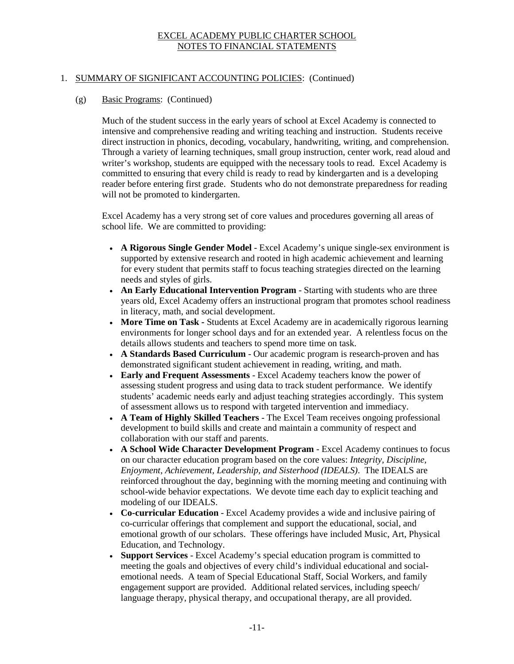# 1. SUMMARY OF SIGNIFICANT ACCOUNTING POLICIES: (Continued)

#### (h) Functional Expense Allocation Policies and Procedures: (Continued)

Direct costs, where identifiable, are allocated in whole to the appropriate functional category. Direct student expenses (textbooks, materials, instructional supplies, assessment material, contract educational services, and field trips) are allocated entirely to program services.

Personnel expenses for salaries are allocated based on job descriptions and management estimates of time spent on particular activities. Personnel expenses for salaries are divided into employee categories (executive, teachers, other educational staff, etc.) and then a percentage of time spent on program services, general and administrative activities, and fundraising activities is applied. All other personnel expenses (employee benefits, payroll taxes, staff development) are allocated based on the weighted average allocation of the direct salaries.

Other expenses that are not directly identifiable by program are allocated based on management estimates of use of resources. For other expenses where it would not be appropriate to designate 100 percent as a program service cost, general and administrative cost, or fundraising cost, the allocation formula for personnel expenses is utilized for cost allocation purposes.

### (i) Use of Estimates:

The preparation of financial statements in conformity with accounting principles generally accepted in the United States of America requires management to make estimates and assumptions that affect the reported amounts of assets, liabilities, the disclosure of contingent assets and liabilities at the date of the financial statements, and the reported amounts of support and revenues and expenses during the reporting period. Actual results could differ from those estimates.

### (j) Recognition of Salary Expense:

Salary expense is recognized in the year the service is rendered, which coincides with the academic year. Salaries unpaid at June 30 are recognized as expense and accrued salaries.

#### (k) Fair Value of Certain Financial Instruments:

Some of the Charter School's financial instruments are not measured at fair value on a recurring basis but nevertheless are recorded at amounts that approximate fair value due to their liquid or short-term nature. Such accounts include cash, accounts receivable, prepaid expenses, accounts payable, and accrued expenses.

### (l) Reclassifications:

Certain accounts in the prior year financial statements have been reclassified for comparative purposes to conform with the presentation in the current year financial statements. These reclassifications had no effect on the change in the net assets or to total net assets from prior years.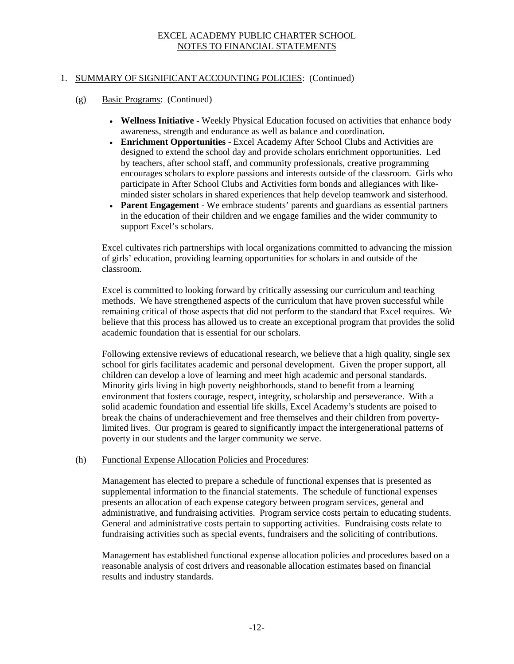# 2. ACCOUNTING FOR UNCERTAIN TAX POSITIONS:

Accounting principles generally accepted in the United States of America provide consistent guidance for the accounting for uncertainty in income taxes recognized in the Charter School's financial statements and prescribe a threshold of "more likely than not" for recognition of tax positions taken or expected to be taken in a tax return. The Excel Academy Public Charter School performed an evaluation of uncertain tax positions for the year ended June 30, 2017, and determined that there were no matters that would require recognition in the financial statements or that may have any effect on its tax-exempt status. As of June 30, 2017, the statute of limitations for tax years 2013 through 2015 remains open with the U.S. federal jurisdiction or the various states and local jurisdictions in which the Charter School files tax returns. It is the Charter School's policy to recognize interest and/or penalties related to uncertain tax positions, if any, in income tax expense. As of June 30, 2017, the Charter School had no accruals for interest and/or penalties.

# 3. CASH AND CASH EQUIVALENTS:

Cash and cash equivalents at year end consisted of the following:

|                                                                                         | June 30, 2017        | June 30, 2016                 |  |  |
|-----------------------------------------------------------------------------------------|----------------------|-------------------------------|--|--|
| Non-Interest Bearing Checking Accounts<br><b>Money Market Account</b><br>Checks on Hand | 344.349<br>3,145,399 | 89,042<br>3,782,665<br>13,565 |  |  |
| Total                                                                                   | 3.489,748            | 3,885,272                     |  |  |

For purposes of the cash flow statement and financial statement presentation, cash and cash equivalents are short term, highly liquid investments with maturities of three months or less.

The Charter School maintains its operating funds in one financial institution in the form of noninterest bearing checking accounts and a money market account. These accounts are covered under the Federal Deposit Insurance Corporation (FDIC) Program. Federal Deposit Insurance Corporation Insurance coverage is \$250,000 per account category. Deposits held in non-interest bearing transaction accounts are aggregated with any interest-bearing deposits and the combined total insured up to \$250,000.

As of June 30, 2017 and 2016, \$3,250,561 and \$3,629,033 of the bank balances, respectively, were deposited in excess of Federal Deposit Insurance Corporation limits. Due to increased cash flows at certain times during the year, the amount of funds at risk may have been greater than at year end. The Charter School was at risk for the funds held in excess of the insured amounts. The Charter School has not experienced any losses related to these accounts and does not believe it is exposed to any significant credit risk on cash and cash equivalents.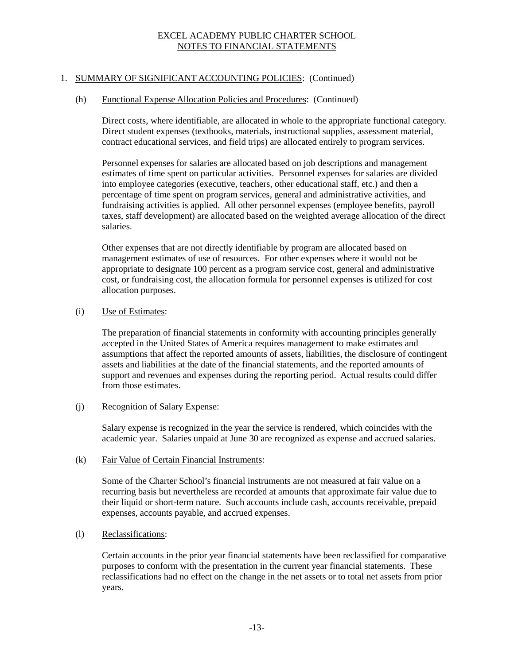# 4. ACCOUNTS, GRANTS AND PROMISES RECEIVABLE:

### **Accounts and Grants Receivable**

Accounts and grants receivable are current and considered to be fully collectible by management. Balances as of June 30, 2017 and 2016 consisted of the following:

|                                                        | June 30, 2017 | June 30, 2016 |
|--------------------------------------------------------|---------------|---------------|
| <b>Accounts Receivable:</b>                            |               |               |
| Per Pupil Funding                                      | \$<br>87,467  | \$<br>95,643  |
| <b>Medicaid - School Based Services</b>                | 72,954        |               |
| Reimbursable Expenses                                  | 1,566         | 36,446        |
| Total                                                  | \$<br>161,987 | 132,089       |
| Grants Receivable:                                     |               |               |
| Elementary and Secondary Education Act - Title II      | \$<br>94,337  | \$<br>44,117  |
| National Food Program Cluster                          | 70,783        | 119,038       |
| <b>E-Rate Discount Programs</b>                        | 55,730        | 7,396         |
| Elementary and Secondary Education Act - Title I       | 35,750        | 192,565       |
| Individuals with Disabilities Education Act (IDEA 611) | 33,423        | 38,542        |
| Child and Adult Care Food Programs                     | 10,004        | 11,599        |
| <b>Healthy School Act</b>                              | 3,338         | 4,101         |
| Fresh Fruits and Vegetables                            | 2,176         | 30,911        |
| Total                                                  | \$<br>305,541 | \$<br>448,269 |

The Charter School's accounts and grants receivable consists of unsecured amounts due from funding sources whose ability to pay are subject to changes in general economic conditions. Because the Charter School does not require collateral, it is at credit risk for the amounts owed to it throughout the year and at year end.

Accounts and grants receivable are stated at the amount management expects to collect from outstanding balances. Management provides for probable uncollectible amounts through a provision for bad debt expense and an adjustment to a valuation allowance based on its assessment of the current status of individual accounts. Balances outstanding after management has used reasonable collection efforts are written off through a charge to the valuation allowance and a credit to accounts or grants receivable. Management believes that an allowance was not required, based on its evaluation of collectability of receivables for the years ended June 30, 2017 and 2016.

Trade receivables related to program service fees (activity fees, before and after care, etc.) are recognized as revenue on the accrual basis of accounting at the time the program activity has occurred. Credit is extended for a period of 60 days with no interest accrual at which time payment is considered delinquent. Trade receivables are written off as uncollectible when payment has not been received after 180 days.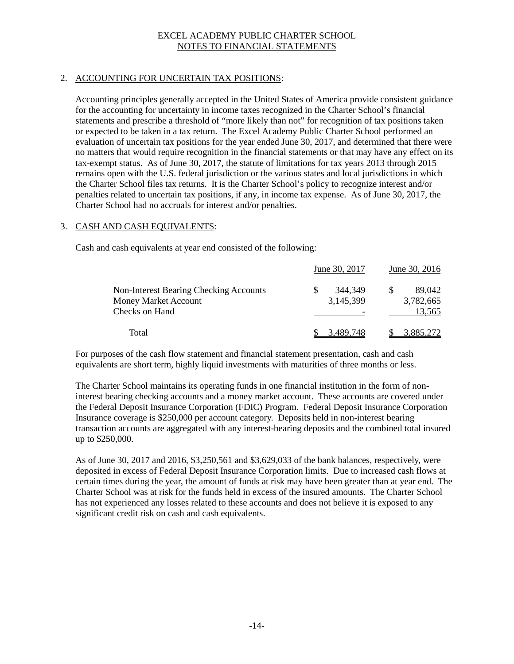# 4. ACCOUNTS, GRANTS AND PROMISES RECEIVABLE: (Continued)

### **Promises Receivable**

Contributions are recognized when the donor makes a promise to give that is, in substance, unconditional. Promises to give represent amounts committed by donors that have not been received by the Charter School. The Charter School uses the allowance method to determine uncollectible promises to give. Balances at year end consisted of the following:

|                                                                        |   | June 30, 2017         | June 30, 2016 |        |  |
|------------------------------------------------------------------------|---|-----------------------|---------------|--------|--|
| Parent Engagement Strategy<br>Tennis - Girls Rule the Court<br>General | S | 3,208<br>500<br>1.673 |               | 14,416 |  |
| <b>Total Promises Receivable</b>                                       |   | 5.381                 |               |        |  |
|                                                                        |   |                       |               |        |  |

The above unconditional promises receivable are all due in less than one year.

### 5. FIXED ASSETS:

 $J_{\text{una}}$  20, 2017

The furniture, equipment, computers, and the website are recorded at cost, or in the case of contributed property, at the fair market value at the date of contribution. If an expenditure in excess of \$1,000 results in an asset having an estimated useful life which extends substantially beyond the year of acquisition, the expenditure is capitalized at cost and depreciated over the estimated useful lives of the assets. When assets are retired or otherwise disposed of, the cost and related accumulated depreciation is removed from the accounts and any resulting gain or loss is reflected as income for the period. Depreciation has been provided on the straight-line method over the estimated useful lives of the assets. Maintenance and repairs are charged to expenses as incurred. Depreciation and amortization expense for the years ended June 30, 2017 and 2016 was \$200,511 and \$211,642, respectively. Major classifications of fixed assets and their estimated useful lives are as summarized below:

| JUIIE JU, $\angle$ UI/  | Depreciable<br>Life | Cost          |     | Accumulated<br>Depreciation | Net Book<br>Value |
|-------------------------|---------------------|---------------|-----|-----------------------------|-------------------|
| Furniture and Equipment | 7 Years             | \$<br>646,272 | \$. | 433,382                     | 212,890           |
| Computer Equipment      | 3 Years             | 568,825       |     | 406,633                     | 162,192           |
| Website                 | 5 Years             | 6,975         |     | 6,315                       | 660               |
| Leasehold Improvements  | Remaining           | 374,561       |     | 59,128                      | 315,433           |
|                         | Life of Lease       |               |     |                             |                   |
| Total                   |                     | 1,596,633     |     | 905,458                     | 691,175           |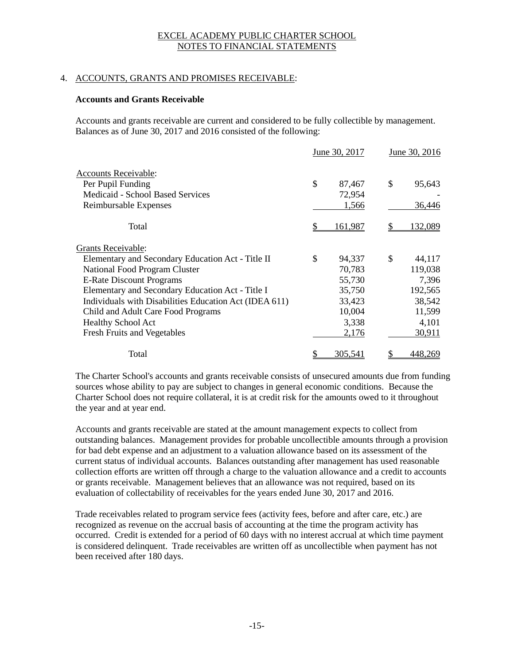# 5. FIXED ASSETS: (Continued)

### June 30, 2016

|                         | Depreciable<br>Life | Cost          |   | Accumulated<br>Depreciation | Net Book<br>Value |
|-------------------------|---------------------|---------------|---|-----------------------------|-------------------|
| Furniture and Equipment | 7 Years             | \$<br>627,971 | S | 364,337                     | \$<br>263,634     |
| Computer Equipment      | 3 Years             | 470,339       |   | 297,302                     | 173,037           |
| Website                 | 5 Years             | 6,975         |   | 5,820                       | 1,155             |
| Leasehold Improvements  | Remaining           | 358,718       |   | 37,488                      | 321,230           |
|                         | Life of Lease       |               |   |                             |                   |
| Total                   |                     | .464.003      |   | 704.947                     | 759,056           |

### 6. DEFERRED REVENUE:

The Charter School records cash receipts on grants in excess of costs incurred on grants as deferred revenue until they are expended for the purposes of the grant at which time they are recognized as unrestricted support. The balance of deferred revenue as of June 30, 2017 and 2016 consisted of the following:

|                                          |           | June 30, 2017 June 30, 2016 |
|------------------------------------------|-----------|-----------------------------|
| Per Pupil Funding - Extended School Year | \$ 37,765 |                             |
| Total                                    | 37.765 \$ |                             |

# 7. DISTRICT OF COLUMBIA PUBLIC CHARTER SCHOOL BOARD CONTRACT:

The Charter School was approved by the District of Columbia Public Charter School Board to operate a charter school in the District of Columbia. The District of Columbia Public Charter School Board (DCPCSB) is responsible for the ongoing oversight of the Charter School's fiscal management and academic acceptability. The contract dated May 18, 2008, provides for a 15-year charter effective the date of first operation. If not renewed, the charter contract will expire on or about January 1, 2023. The charter contract may be renewed for successive 15-year periods if the DCPCSB deems that Excel Academy Public Charter School is in compliance with its charter contract and District statutory provisions. In addition, in accordance with the Charter School Act, the DCPCSB is required to review the charter every five years, with the first such review having occurred in the spring of 2013. The DCPCSB may revoke (or not renew) a charter school contract if a school violates applicable law, materially violates the charter contract or fails to meet the student academic achievement expectations set forth in the charter contract.

As part of the agreement with the DCPCSB, the Charter School may be charged a public charter school fee, which is not to exceed one percent of the total revenues (less philanthropic and investment revenues) within the annual budget to cover the costs of undertaking the ongoing administrative responsibilities of the Board. For the years ended June 30, 2017 and 2016, the Charter School incurred \$132,298 and \$135,748, respectively, in administrative fees.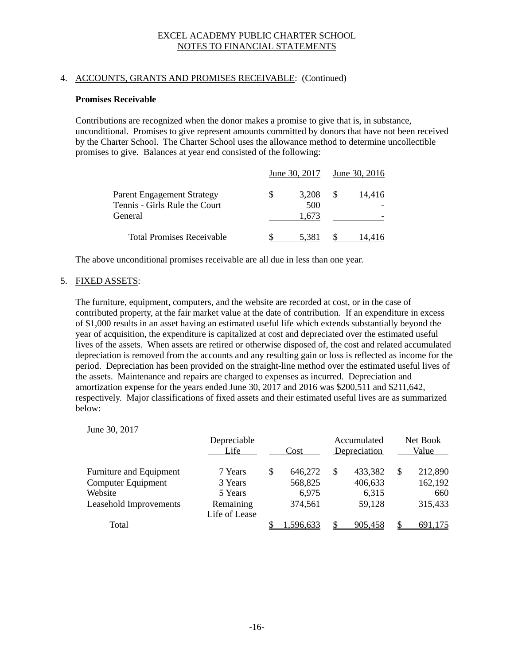### 7. DISTRICT OF COLUMBIA PUBLIC CHARTER SCHOOL BOARD CONTRACT: (Continued)

The charter contract provides that Excel Academy may educate up to a predetermined number of students. However, this enrollment limit may be raised upon notification to and acceptance by the DCPCSB. The Charter School enrollment ceiling for the year ended June 30, 2017, was not permitted to be greater than 945 students. Audit enrollment for the 2016/2017 year was 702 students and enrollment for the 2015/2016 year was 733 students.

### 8. PER PUPIL FUNDING ALLOCATION:

The Charter School receives local funding from the District of Columbia in the form of per pupil educational allotments and facility allotments. This funding is based on the equivalent number of full-time students and is determined annually. For the year ended June 30, 2017, the per student rate ranged from \$9,682 to \$12,974 for the educational allotment and \$3,124 for the facility allotment. For the year ended June 30, 2016, the per student rate ranged from \$9,492 to \$12,719 for the educational allotment and \$3,124 for the facility allotment. Additional allotments were made for special education services. Per-pupil funding for the years ended June 30, 2017 and 2016 was as follows:

|                             | June 30, 2017 | June 30, 2016 |
|-----------------------------|---------------|---------------|
| <b>General Education</b>    | 7,553,508     | 7,852,164     |
| <b>Special Education</b>    | 1,012,808     | 705,758       |
| <b>At-Risk Students</b>     | 973,241       | 1,070,685     |
| <b>Facilities Allowance</b> | 2,193,048     | 2,289,892     |
| Total                       | 11.732.605    |               |

### 9. FEDERAL ENTITLEMENTS AND GRANTS:

During the years ended June 30, 2017 and 2016, the Charter School participated in the following federal award programs:

|                                                        | June 30, 2017 |   | June 30, 2016 |
|--------------------------------------------------------|---------------|---|---------------|
| National School Lunch and Breakfast Programs           | \$<br>452,407 | S | 500,490       |
| Elementary and Secondary Education Act - Title I       | 417,731       |   | 437,442       |
| Elementary and Secondary Education Act - Title II      | 138,809       |   | 107,178       |
| Individuals with Disabilities Education Act IDEA (611) | 74,699        |   | 134,414       |
| Child and Adult Care Food Programs                     | 60,335        |   | 60,650        |
| <b>Fresh Fruits and Vegetables</b>                     | 41,675        |   | 65,544        |
| <b>Donated Commodities</b>                             | 31,292        |   | 31,465        |
| DC School Choice Incentive Program                     | 30,500        |   | 62,425        |
| Individuals with Disabilities Education Act IDEA (619) | 419           |   | 1,142         |
| Total                                                  | .247.867      |   | .400.750      |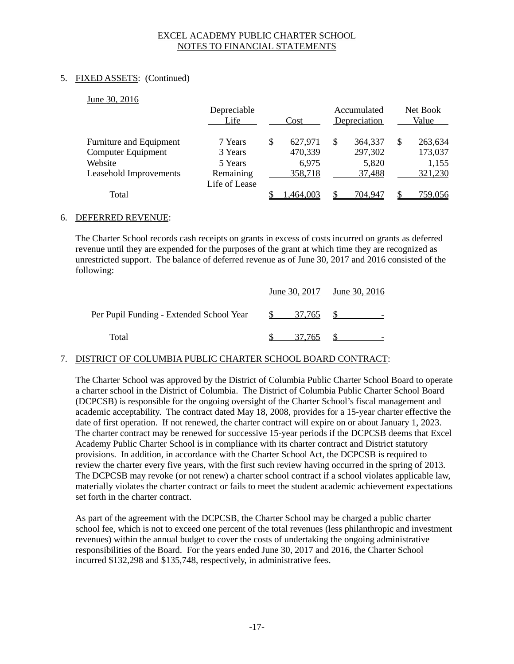# 9. FEDERAL ENTITLEMENTS AND GRANTS: (Continued)

Federal formula grants are allocations of money to states or their subdivisions in accordance with distribution formulas prescribed by law or administrative regulation, for activities of a continuing nature not confined to a specific project. The Charter School receives federal formula grants under the provisions of the No Child Left Behind Act (NCLB) of 2001, P.L 107-110. NCLB funds are not intended to replace state or local educational funding. Rather, NCLB funds provide additional support to states, LEAs, and schools for specific purposes. Grants are provided by the U.S. Department of Education and passed through the District of Columbia Office of State Superintendent of Education.

The National School Lunch Program and School Breakfast Program are part of the child nutrition cluster of programs operated by the U.S. Department of Agriculture. The objectives of the child nutrition cluster programs are to: (1) assist states in administering food services that provide healthful, nutritious meals to eligible children in public and non-profit private schools, residential childcare institutions, and summer recreation programs; and (2) encourage the domestic consumption of nutritious agricultural commodities.

# 10. COMMITMENTS:

### **Building Lease**

The Excel Academy Public Charter School entered into an agreement with the Charter School Incubator Initiative for the use of Birney Elementary School in response to a successful submission to a request for offer (RFO) from the Office of Property Management of the government of the District of Columbia. A part of the renovations of the existing school was supported by a grant from the Office of the State Superintendent for Education through the federally funded Charter School Incubator Initiative. The Birney Elementary School is located at 2501 Martin Luther King, Jr. Avenue, SE, Washington, DC. The use lease (as amended) was effective for a two-year period commencing on August 17, 2009 and expiring on June 30, 2011.

The total annual Usage Fee was payable in quarterly installments equal to ¼ of the annual Usage Fee for the period from July 1 to June 30 on August 1, November 1, February 1 and May 1. The August 1 and November 1 Usage Fee payments were calculated based on an estimate of enrollment as provided by the Grantee to the District of Columbia and a "true up" of the enrollment based on the actual census count was calculated for the February 1 and May 1 payments.

The Usage Fee covered rent, utilities (gas, water, electricity, and trash removal), building engineering and maintenance, nightly cleaning, landscape maintenance, snow removal, monthly security system monitoring and pest control. In addition, Lessor provided for telephone, security equipment, general maintenance and necessary capital improvements.

On September 14, 2011, the lease agreement with the Charter School Incubator Initiative was amended with an effective date of July 1, 2011, and an expiration date of June 30, 2016. As a requirement of this lease, a total rental security deposit of \$75,000 was to be made. This lease calls for continued quarterly lease payments calculated annually based on the number of students enrolled on each census date (October) multiplied by the per-pupil facilities allowance less a ten percent (10%) withholding.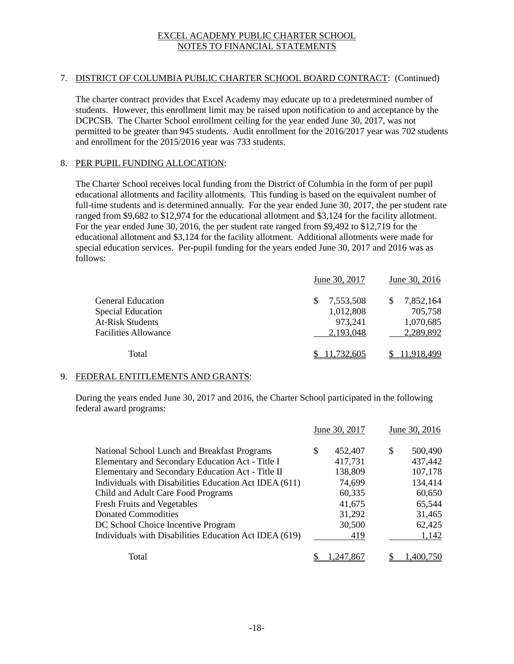# 10. COMMITMENTS: (Continued)

# **Building Lease** (Continued)

The annual usage fee is full service and includes all utilities, janitorial, maintenance, phone equipment and property management. Provided Excel Academy had a student enrollment of at least 600 students by July 1, 2015, this lease may be extended for three additional and consecutive five-year lease terms through June 30, 2031. On December 1, 2016, the Charter School signed an extension which extended the lease term to June 30, 2018.

During the year ended June 30, 2017, the usage fee was based on an enrollment of seven hundred and two (702) students. During the year ended June 30, 2016, the usage fee was based on an enrollment of seven hundred and thirty-one (731) students.

Total rent expense for the years ended June 30, 2017 and 2016 was \$1,973,743 and \$2,055,280, respectively.

# **Photocopier Leases**

The Charter School entered into an operating lease with LEAF Funding, Inc. on December 31, 2010, for the rental of a Xerox WorkCentre 7545 Photocopier System. This lease called for fifty-five (55) monthly payments of \$212 commencing on January 5, 2011. Rental expense for the year ending June 30, 2016, was \$2,520.

The Charter School entered into an operating lease with LEAF Funding, Inc. on August 16, 2010, for the rental of a Xerox WorkCentre 7665 Photocopier and two Xerox WorkCentre 5665 Photocopiers. This lease called for sixty (60) monthly payments of \$724 commencing on September 10, 2010. Rental expense for the year ending June 30, 2016, was \$8,658.

The Charter School entered into an operating lease with LEAF Funding, Inc. on July 18, 2012, for the rental of a Xerox WorkCentre 7428 Photocopier. This lease called for thirty-six (36) monthly payments of \$175 commencing on September 5, 2012. Rental expense for the year ending June 30, 2016, was \$2,070.

The Charter School entered into an operating lease with Xerox Financial Services on June 13, 2014, for the rental of a Xerox Color XC570 Photocopier. This lease calls for forty-eight (48) monthly payments of \$442 commencing on June 13, 2014. Rental expense for the years ending June 30, 2017 and 2016 was \$4,762 and \$5,747, respectively. This lease was terminated as of June 30, 2017.

The Charter School entered into an operating lease with Nauticon Imaging Systems on January 16, 2016, for the rental of two Toshiba 4555C and two Toshiba 557 photocopiers. This lease calls for sixty (60) monthly payments of \$877 commencing on February 4, 2016. Rental expense for the years ending June 30, 2017 and 2016 was \$10,985 and \$5,234, respectively.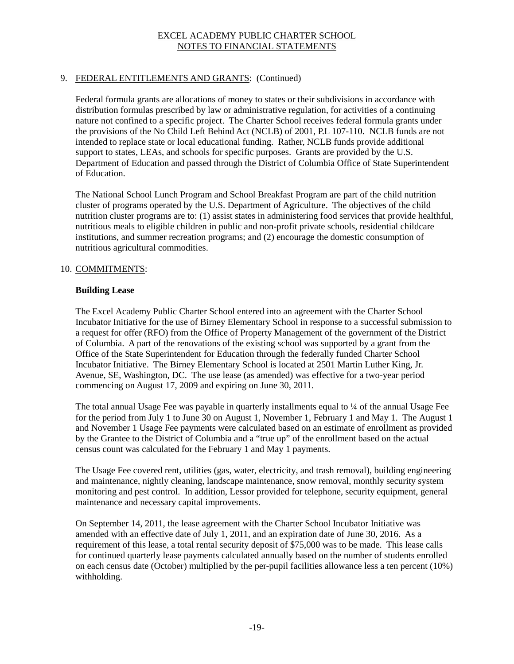# 10. COMMITMENTS: (Continued)

### **Photocopier Leases** (Continued)

Future minimum payments due under this lease are as follows:

| Year Ended June 30, |              |  |
|---------------------|--------------|--|
| 2018                | \$<br>10,524 |  |
| 2019                | 10,524       |  |
| 2020                | 10,524       |  |
| 2021                | 6,139        |  |
| Total               |              |  |

### 11. RELATED PARTY TRANSACTIONS:

### **Board of Trustees**

Two of the trustees appointed to serve on the board of trustees are parents of students attending the Excel Academy Public Charter School. Parent trustees are elected by a majority vote of the board members from a list of qualified individuals submitted to the board by an advisory committee.

### 12. CONCENTRATIONS:

### **Revenues**

The Charter School receives public funds from the District of Columbia based on the number of students they enroll according to the Uniform Per Student Funding Formula developed by the Mayor and City Council. This per pupil allocation is supplemented with extra funds for students with special needs. During the years ended June 30, 2017 and 2016, eighty-nine percent (89%) and eighty-eight percent (88%), respectively, of total support was received from the District of Columbia in the form of per pupil funding.

In addition to the revenue received through the Uniform Per Student Funding, the Charter School receives state and federal grants awarded under the auspices of the U.S. Department of Education (No Child Left Behind and special education) as well as the U.S. Department of Agriculture (Child Nutrition). The Charter School is entitled to receive these funds by virtue of its recognition as a Local Education Agency by the District of Columbia Public Charter School Board (DC PCSB).

The Charter School is limited to enrolling students that are residents of the District of Columbia. As a DC Public Charter School, the Charter School must compete for students against the DC Public School system as well as other DC Public Charter Schools.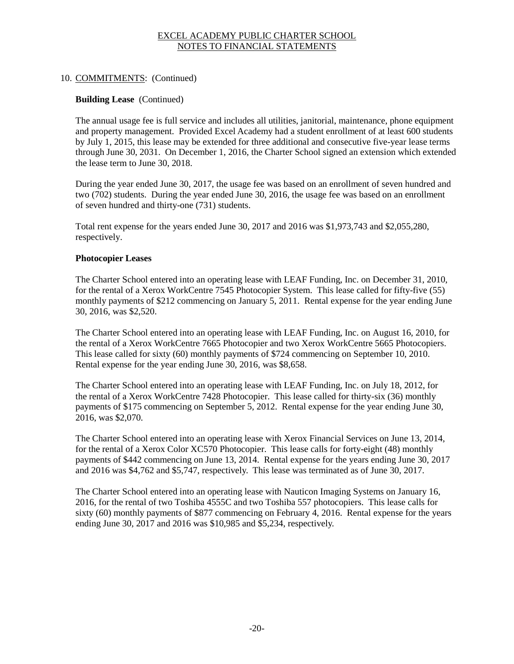# 13. CONTINGENCIES:

The Charter School was granted its charter by the District of Columbia Public Charter School Board, authorized under the District of Columbia School Reform Act of 1995, Public Law 104-134, as amended. The Charter School has no reason to believe that this relationship will be discontinued in the foreseeable future. However, any interruption of this relationship (i.e. the failure to continue this charter authorization or withhold funding) could adversely affect the Charter School's ability to finance ongoing operations.

The Charter School depends on per pupil allocations, grants, and contributions for a significant portion of its revenues. The ability of the sources of revenues to continue giving amounts comparable with prior years may be dependent upon future economic conditions and continued deductibility for income tax purposes of grants and contributions to the Charter School. While the Charter School's Board of Trustees and management believes the Charter School has the resources to continue its programs, its ability to do so, and the extent to which it continues, may be dependent on the above factors.

Laws and regulations governing charter schools are complex and subject to interpretation. The Excel Academy Public Charter School believes that it is in compliance with all applicable laws and regulations and is not aware of any pending or threatened investigations involving allegations of potential wrongdoing.

The viability of public charter schools and funding for these schools is dependent upon the consensus of current and future administration of the District of Columbia. Any future change in dynamics could adversely affect the operations of public charter schools.

# 14. SUBSEQUENT EVENTS:

# **Financial Statement Preparation**

In preparing these financial statements, management has evaluated events and transactions for potential recognition or disclosure through November 29, 2017, the date the financial statements were available to be issued, and has determined that no adjustments are necessary to the amounts reported in the accompanying financial statements.

### **Enrollment**

Enrollment for the 2017/2018 school year is six hundred and forty (640) students. These enrollment numbers are down from the current audit enrollment number of seven hundred and two (702) students during the 2016/2017 school year.

# **Additional Funding - Washington Teacher's Union Contract**

On October 1, 2017, the City Council approved the Washington Teacher's Union Contract. This contract will result in additional funds to both DC Public Schools and DC Public Charter Schools through an increase in the Uniform per Student Funding Formula. These additional funds result in a 5.9% increase above the original per pupil funding amounts. The Charter School will receive an additional one-time payment during the year ended June 30, 2018, to reflect the increase to the 2017 fiscal year per pupil funding base rate.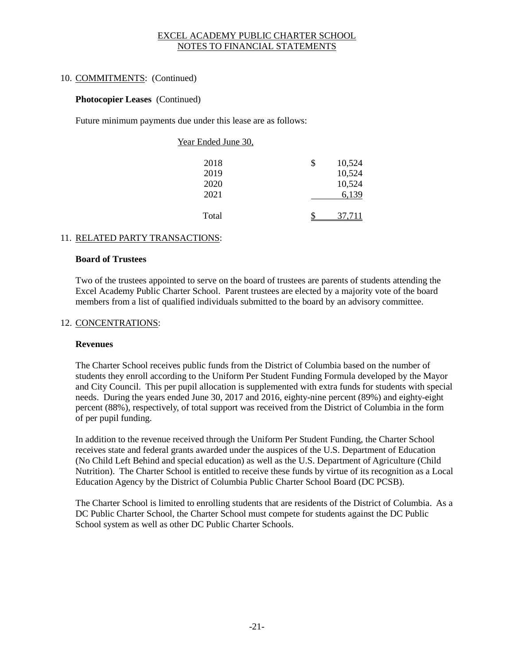### 14. SUBSEQUENT EVENTS: (Continued)

### **Additional Funding - Washington Teacher's Union Contract** (Continued)

The amount paid to the Charter School will be calculated based on the final enrollment audit count, supplemental payments and extended school year funding for the year ended June 30, 2017. The 2017 fiscal year base rate will increase by an amount of \$203 over the original base rate of \$9,682 to a revised base rate of \$9,885.

### **Charter**

On November 20, 2017, the DC Public Charter School Board (DCPCSB) voted to initiate revocation proceedings of the Excel Academy Public Charter School's charter effective upon the last day of the current school year (June 30, 2018) due to student academic achievement expectations. Excel Academy Public Charter School is entitled to a hearing and other due process before a final vote is made in late December or early January.

Per its charter and charter agreement, the Excel Academy Public Charter School committed to achieving an average Performance Management Framework (PMF) score of 45% for the past five years of operation. Excel Academy Public Charter School's average score is 41.4%. Management of the Excel Academy Public Charter School has been diligently working on a "turnaround plan" with the assistance from an outside consultant to obtain the benchmarks set forth in its charter.

### 15. FUNDRAISING:

During the years ended June 30, 2017 and 2016, expenses incurred for the purpose of fundraising were \$72,658 and \$116,455, respectively.

### 16. ADVERTISING:

Advertising was conducted for the purpose of promoting open enrollment and student recruiting to the Charter School and to provide outreach to the community. In addition, advertising costs were incurred for the purpose of teacher recruiting. Advertising costs and recruiting are expensed when incurred. Direct advertising expenses were \$26,203 and \$13,261 for the years ended June 30, 2017 and 2016, respectively.

# 17. RETIREMENT PLAN:

### **403(b) Plan**

Excel Academy Public Charter School provides pension benefits for its employees through a defined contribution 403(b) retirement plan which is currently administered by Mass Mutual. In a defined contribution plan, benefits depend solely on amounts contributed to the plan plus investment earnings. Provisions of the plan allow for employees to contribute up to the statutory limits set by the Internal Revenue Code. The Charter School contributes a dollar for dollar match up to three percent (3%) of an employee's gross monthly salary to the plan for the purchase of individual annuity contracts. Employees are eligible to participate upon commencement of their employment. Founding employees enrolled in the plan receive full and immediate vesting. Remaining employees become vested upon their anniversary date of employment after three full years of service. The employer expense for the years ended June 30, 2017 and 2016 was \$92,013 and \$104,838, respectively.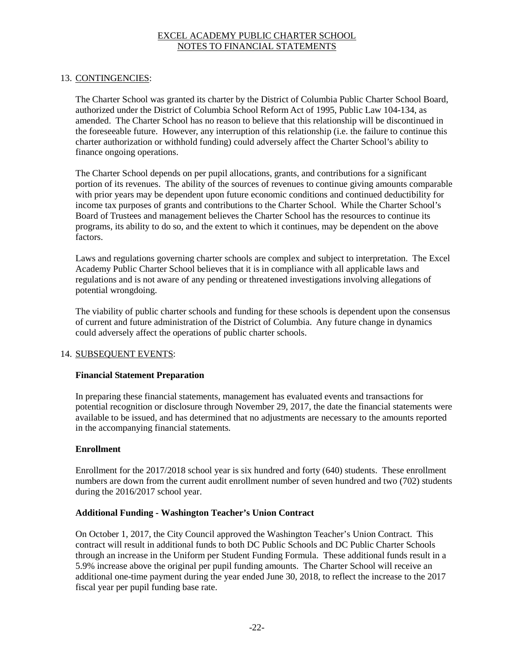### 18. EMPLOYEE BENEFITS:

The cost of fringe benefits incurred for the years ended June 30, 2017 and 2016 consisted of the following:

|                                 | June 30, 2017 | June 30, 2016 |
|---------------------------------|---------------|---------------|
| Social Security/Medicare        | \$<br>540,168 | \$<br>490,334 |
| <b>Health Insurance</b>         | 380,547       | 274,319       |
| Retirement                      | 92,013        | 104,838       |
| Unemployment                    | 62,278        | 60,719        |
| Life and Disability             | 27,484        | 10,913        |
| <b>Workers Compensation</b>     | 24,911        | 44,330        |
| <b>Plan Administration Fees</b> | 1,694         | 1,575         |
| <b>Tuition Reimbursement</b>    | 1,560         |               |
|                                 |               |               |
| Total                           | 30.655        |               |

### **Flexible Benefits Plan**

The Charter School adopted a Section 125 Flexible Benefits Plan (Cafeteria Plan). Under this plan, employees are permitted to use pre-tax benefit dollars through payroll deduction to pay for health and dental insurance premiums.

### 19. OCCUPANCY COST:

The cost of occupancy for the years ended June 30, 2017 and 2016 consisted of the following:

|                                     | June 30, 2017  | June 30, 2016  |
|-------------------------------------|----------------|----------------|
| Rent of Facilities                  | 1,973,743<br>S | 2,055,280<br>S |
| <b>Outsourced Security Services</b> | 50,287         | 45,018         |
| Maintenance and Repairs             | 10,200         | 3,574          |
| Rental - Other                      | 17,538         | 12,725         |
| Depreciation                        | 21,639         | 21,054         |
| Janitorial Supplies and Services    | 1,421          | 2,832          |
| Snow Removal                        | 794            |                |
| Total                               |                |                |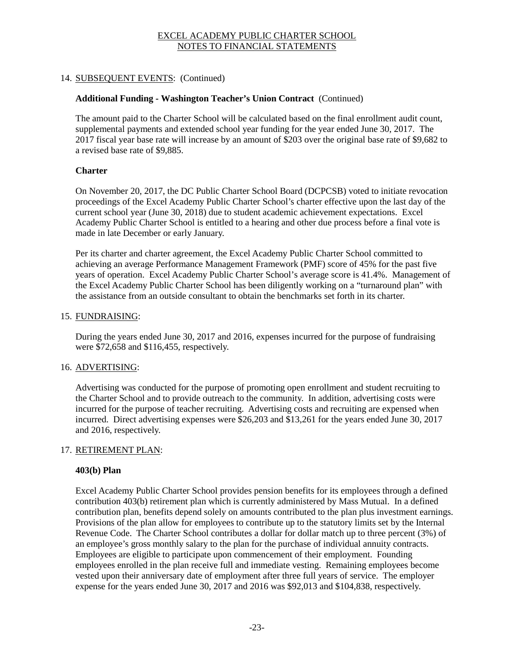#### EXCEL ACADEMY PUBLIC CHARTER SCHOOL COMPARATIVE SCHEDULES OF FUNCTIONAL EXPENSES FOR THE YEARS ENDED JUNE 30, 2017 AND 2016

|                                                  |                 |                          | June 30, 2017                 |                         | June 30, 2016           |                            |                               |                           |  |  |
|--------------------------------------------------|-----------------|--------------------------|-------------------------------|-------------------------|-------------------------|----------------------------|-------------------------------|---------------------------|--|--|
|                                                  | Total           | Educational<br>Services  | General and<br>Administrative | Fundraising             | Total                   | Educational<br>Services    | General and<br>Administrative | Fundraising               |  |  |
| Personnel, Salaries and Benefits:                |                 |                          |                               |                         |                         |                            |                               |                           |  |  |
| Principal/Executive Salaries                     | \$<br>951,779   | 733,986<br>-S            | $\mathbb{S}$<br>217,793       | \$                      | 695,174<br><sup>S</sup> | 477,638<br><sup>\$</sup>   | $\mathbb{S}$<br>216,453       | $\mathcal{S}$<br>1,083    |  |  |
| <b>Teachers Salaries</b>                         | 2,360,926       | 2,360,926                |                               |                         | 2,204,636               | 2,204,636                  |                               |                           |  |  |
| Teacher's Aides/Assistants Salaries              | 1,608,123       | 1,608,123                |                               |                         | 1,933,466               | 1,933,466                  |                               |                           |  |  |
| <b>Other Educational Professional Salaries</b>   | 1,177,204       | 1,177,204                |                               |                         | 957,107                 | 953,040                    | 4,067                         |                           |  |  |
| <b>Business Operations and Clerical Salaries</b> | 963,913         | 613,808                  | 302,433                       | 47,672                  | 675,387                 | 377,487                    | 224,365                       | 73,535                    |  |  |
| <b>Before and Aftercare Salaries</b>             | 135,696         | 135,696                  |                               |                         | 80,482                  | 80,482                     |                               |                           |  |  |
| <b>Summer School Salaries</b>                    | 104,586         | 104,586                  |                               |                         | 90,736                  | 90,736                     |                               |                           |  |  |
| <b>Payroll Taxes</b>                             | 602,446         | 555,593                  | 42,919                        | 3,934                   | 551,053                 | 507,920                    | 36,938                        | 6,195                     |  |  |
| Other Employee Benefits                          | 528,209         | 487,130                  | 37,631                        | 3,448                   | 435,975                 | 401,850                    | 29,223                        | 4,902                     |  |  |
| <b>Temporary Contract Staffing</b>               | 13,000          | 1,000                    | 12,000                        |                         | 50,571                  |                            | 50,571                        |                           |  |  |
| <b>Staff Recruiting Costs</b>                    | 2,761           | 2,546                    | 197                           | 18                      |                         |                            |                               |                           |  |  |
| <b>Staff Development - Placement Fees</b>        | 31,690          | 16,000                   | 15,690                        |                         | 54,630                  | 32,500                     | 22,130                        |                           |  |  |
| <b>Staff Development Costs</b>                   | 50,348          | 46,738                   | 3,610                         |                         | 77,459                  | 72,208                     | 5,251                         |                           |  |  |
| Other Staff Costs                                | 64,457          | 59,834                   | 4,623                         |                         | 72,856                  | 67,917                     | 4,939                         |                           |  |  |
| Total Personnel, Salaries and Benefits           | 8,595,138       | 7,903,170                | 636,896                       | 55,072                  | 7,879,532               | 7,199,880                  | 593,937                       | 85,715                    |  |  |
| Direct Student Costs:                            |                 |                          |                               |                         |                         |                            |                               |                           |  |  |
| Food Service                                     | \$<br>632,941   | 632,941<br>$\mathcal{S}$ | $\mathcal{S}$                 | $\mathcal{S}$           | \$<br>689,760           | 689,760<br>\$              | <sup>\$</sup>                 | $\boldsymbol{\mathsf{S}}$ |  |  |
| <b>Textbooks and Assessment Materials</b>        | 176,934         | 176,934                  |                               |                         | 302,587                 | 302,587                    |                               |                           |  |  |
| <b>Student Supplies and Materials</b>            | 107,326         | 107,326                  |                               |                         | 164,366                 | 164,366                    |                               |                           |  |  |
| <b>Contracted Instructional/Student Services</b> | 448,046         | 448,046                  |                               |                         | 218,440                 | 218,440                    |                               |                           |  |  |
| <b>Student Recruiting</b>                        | 22,860          | 22,860                   |                               |                         | 12,245                  | 12,245                     |                               |                           |  |  |
| Other Student Costs                              | 81,857          | 81,857                   |                               |                         | 61,046                  | 61,046                     |                               |                           |  |  |
| <b>Total Direct Student Costs</b>                | 1,469,964       | 1,469,964                |                               |                         | 1,448,444               | 1,448,444                  |                               |                           |  |  |
| <b>Occupancy Costs:</b>                          |                 |                          |                               |                         |                         |                            |                               |                           |  |  |
| Rent                                             | 1,973,743<br>\$ | 1,820,244                | $\mathbb{S}$<br>140,614       | $\mathcal{S}$<br>12,885 | 2,055,280<br>\$         | <sup>\$</sup><br>1,894,405 | 137,768<br>$\mathbb{S}$       | 23,107<br>$\mathbb{S}$    |  |  |
| <b>Contracted Building Services</b>              | 51,081          | 47,109                   | 3,639                         | 333                     | 45,018                  | 41,495                     | 3,018                         | 505                       |  |  |
| Maintenance and Repairs                          | 10,200          | 9,407                    | 727                           | 66                      | 3,574                   | 3,294                      | 240                           | 40                        |  |  |
| Rent - Other                                     | 17,538          | 16,174                   | 1,249                         | 115                     | 12,725                  | 11,729                     | 853                           | 143                       |  |  |
| Depreciation                                     | 21,639          | 19,957                   | 1,542                         | 140                     | 21,054                  | 19,406                     | 1,411                         | 237                       |  |  |
| Janitorial Supplies and Services                 | 1,421           | 1,311                    | 101                           | $\overline{9}$          | 2,832                   | 2,610                      | 190                           | 32                        |  |  |
| <b>Total Occupancy Costs</b>                     | 2,075,622       | 1,914,202                | 147,872<br>S.                 | 13,548                  | 2,140,483<br>S.         | 1,972,939                  | 143,480<br><sup>\$</sup>      | 24,064                    |  |  |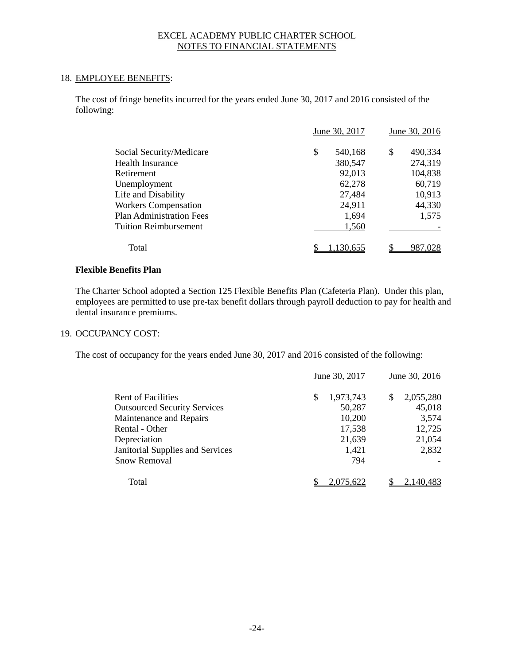#### EXCEL ACADEMY PUBLIC CHARTER SCHOOL COMPARATIVE SCHEDULES OF FUNCTIONAL EXPENSES FOR THE YEARS ENDED JUNE 30, 2017 AND 2016

|                                         |               | June 30, 2017 |               |                         |              |                               | June 30, 2016 |             |               |              |                         |              |                               |               |             |
|-----------------------------------------|---------------|---------------|---------------|-------------------------|--------------|-------------------------------|---------------|-------------|---------------|--------------|-------------------------|--------------|-------------------------------|---------------|-------------|
|                                         |               | Total         |               | Educational<br>Services |              | General and<br>Administrative |               | Fundraising | Total         |              | Educational<br>Services |              | General and<br>Administrative |               | Fundraising |
| Office Expenses:                        |               |               |               |                         |              |                               |               |             |               |              |                         |              |                               |               |             |
| Office Supplies and Materials           | $\mathcal{S}$ | 52,134        | $\mathcal{S}$ | 47,147                  | $\mathbb{S}$ | 3,642                         | -S            | 1,345       | \$<br>87,656  | \$           | 80,243                  | $\mathbb{S}$ | 5,836                         | $\mathbb{S}$  | 1,577       |
| <b>Equipment Rental and Maintenance</b> |               | 63,336        |               | 58,411                  |              | 4,512                         |               | 413         | 93,748        |              | 86,410                  |              | 6,284                         |               | 1,054       |
| Telephone and Telecommunications        |               | 31,109        |               | 28,689                  |              | 2,216                         |               | 204         | 19,280        |              | 17,771                  |              | 1,292                         |               | 217         |
| Postage, Shipping and Delivery          |               | 2,555         |               | 2,356                   |              | 182                           |               | 17          | 2,611         |              | 2,407                   |              | 175                           |               | 29          |
| Printing and Duplication                |               | 7,964         |               | 7,345                   |              | 567                           |               | 52          | 12,868        |              | 11,860                  |              | 863                           |               | 145         |
| Marketing and Promotion                 |               | 582           |               | 582                     |              |                               |               |             | 1,016         |              | 1,016                   |              |                               |               |             |
| <b>Total Office Expenses</b>            |               | 157,680       |               | 144,530                 |              | 11,119                        |               | 2,031       | 217,179       |              | 199,707                 |              | 14,450                        |               | 3,022       |
| <b>General Expenses:</b>                |               |               |               |                         |              |                               |               |             |               |              |                         |              |                               |               |             |
| <b>Authorizer Fees</b>                  | \$            | 132,298       | -S            | 122,811                 | $\mathbb{S}$ | 9,487                         | $\mathcal{S}$ |             | \$<br>135,748 | $\mathbb{S}$ | 126,545                 | $\mathbb{S}$ | 9,203                         | $\mathcal{S}$ |             |
| Insurance                               |               | 32,112        |               | 29,614                  |              | 2,287                         |               | 211         | 31,848        |              | 29,355                  |              | 2,135                         |               | 358         |
| Accounting, Auditing and Payroll        |               | 146,137       |               |                         |              | 146,137                       |               |             | 141,328       |              |                         |              | 141,328                       |               |             |
| Legal Fees                              |               | 17,026        |               | 13,860                  |              | 3,166                         |               |             | 56,224        |              | 16,830                  |              | 39,394                        |               |             |
| <b>Other Professional Fees</b>          |               | 769,507       |               | 690,686                 |              | 78,821                        |               |             | 784,345       |              | 682,197                 |              | 102,148                       |               |             |
| <b>Computer Support Fees</b>            |               | 81,380        |               | 75,051                  |              | 5,798                         |               | 531         | 90,029        |              | 82,982                  |              | 6,035                         |               | 1,012       |
| <b>Business Fees and Dues</b>           |               | 14,847        |               | 13,693                  |              | 1,057                         |               | 97          | 12,498        |              | 11,520                  |              | 837                           |               | 141         |
| Depreciation                            |               | 178,872       |               | 164,961                 |              | 12,743                        |               | ,168        | 190,588       |              | 175,670                 |              | 12,775                        |               | 2,143       |
| <b>Total General Expenses</b>           |               | 1,372,179     |               | 1,110,676               |              | 259,496                       |               | 2,007       | 1,442,608     |              | 1,125,099               |              | 313,855                       |               | 3,654       |
| TOTAL FUNCTIONAL EXPENSES               |               | 13,670,583    |               | 12,542,542              |              | 1,055,383                     |               | 72,658      | \$13,128,246  |              | 11,946,069              |              | 1,065,722                     |               | 116,455     |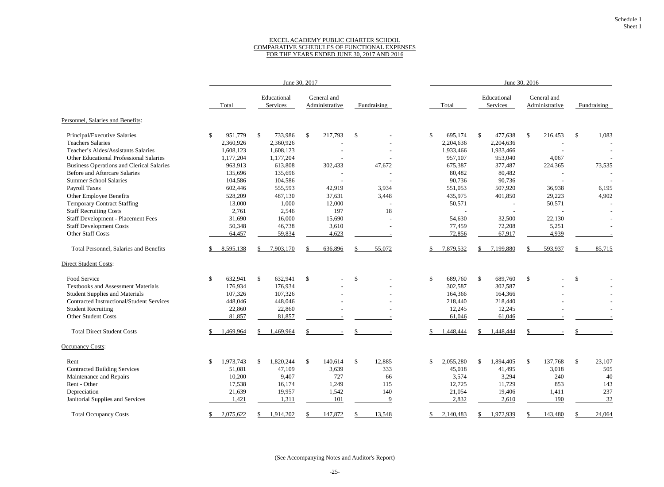### EXCEL ACADEMY PUBLIC CHARTER SCHOOL COMPARATIVE SCHEDULES OF AVERAGE COST PER STUDENT FOR THE YEARS ENDED JUNE 30, 2017 AND 2016

#### June 30, 2017

|                            |       | <b>Total Cost</b> | <b>Average Cost</b><br>Per Student |        |  |  |
|----------------------------|-------|-------------------|------------------------------------|--------|--|--|
| Instructional              |       | \$10,628,340      | S                                  | 15,140 |  |  |
| Occupancy                  |       | 2,075,622         |                                    | 2,957  |  |  |
| General and Administrative |       | 907,511           |                                    | 1,293  |  |  |
| Fundraising                |       | 59,110            |                                    | 84     |  |  |
|                            | Total | \$13,670,583      |                                    | 19.474 |  |  |

The above is the average per student cost for the year ended June 30, 2017, and is based on a full time equivalent (FTE) enrollment of 702 students.

#### June 30, 2016

|                            |       | <b>Total Cost</b> | <b>Average Cost</b><br>Per Student |
|----------------------------|-------|-------------------|------------------------------------|
| Instructional              |       | \$9,973,130       | \$<br>13,606                       |
| Occupancy                  |       | 2,140,483         | 2,920                              |
| General and Administrative |       | 922,242           | 1,258                              |
| Fundraising                |       | 92,391            | 126                                |
|                            | Total | 13,128,246        | 7.910                              |

The above is the average per student cost for the year ended June 30, 2016, and is based on a full time equivalent (FTE) enrollment of 733 students.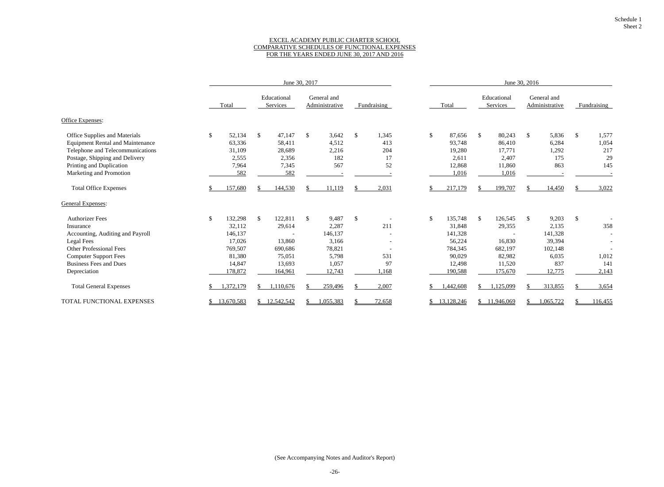### EXCEL ACADEMY PUBLIC CHARTER SCHOOL SCHEDULE OF EXPENDITURES OF FEDERAL AWARDS FOR THE YEAR ENDED JUNE 30, 2017

|                                                                                                        | Federal                      | Pass-Through       | Program            |                          | Grant                     | Refundable               |                          | <b>Current Year Activity</b>  | Grant                      | Refundable            |
|--------------------------------------------------------------------------------------------------------|------------------------------|--------------------|--------------------|--------------------------|---------------------------|--------------------------|--------------------------|-------------------------------|----------------------------|-----------------------|
| Federal Grantor/Pass Through Grantor Program Title                                                     | <b>CFDA</b><br><b>Number</b> | Grantors<br>Number | or Award<br>Amount | Period of Award          | Receivable<br>at $7/1/16$ | Advance at<br>7/1/16     | Receipts                 | Disbursements<br>Expenditures | Receivable<br>at $6/30/17$ | Advance at<br>6/30/17 |
| <b>U.S. Department of Education:</b>                                                                   |                              |                    |                    |                          |                           |                          |                          |                               |                            |                       |
| Passed Through the District of Columbia:                                                               |                              |                    |                    |                          |                           |                          |                          |                               |                            |                       |
| Title I, Part A, Grants to Local Educational Agencies                                                  | 84.010A                      | 72010A             | 415,328<br>\$      | 07/01/16 to 09/30/17     | <sup>\$</sup>             | -S<br>$\blacksquare$     | 313,408<br><sup>S</sup>  | 349,158<br>-\$                | 35,750<br>-S               | -\$                   |
| Title I, Part A, Grants to Local Educational Agencies<br>Special Education - IDEA 611, Grants to Local | 84.010A                      | 62010A             | \$<br>620,565      | 07/01/15 to 09/30/16     | 192,565                   |                          | 261,138                  | 68,573                        |                            |                       |
| <b>Education Agencies</b><br>Special Education - IDEA 611, Grants to Local                             | 84.027A                      | 72027A             | \$<br>68,338       | 07/01/16 to 09/30/17     |                           |                          | 24,612                   | 58,035                        | 33,423                     |                       |
| <b>Education Agencies</b><br>Special Education - IDEA 619, Preschool Grants to                         | 84.027A                      | 62027A             | \$<br>152,343      | 07/01/15 to 09/30/16     | 38,542                    |                          | 55,206                   | 16,664                        |                            |                       |
| <b>Local Education Agencies</b><br>Title II, Part A, Preparing, Training, and Recruiting               | 84.173A                      | 72173A             | \$<br>419          | 07/01/16 to 09/30/17     |                           |                          | 419                      | 419                           |                            |                       |
| High Quality Teachers and Principals<br>Title II, Part A, Preparing, Training, and Recruiting          | 84.367A                      | 72367A             | \$<br>133,651      | 07/01/16 to 09/30/17     |                           | $\overline{\phantom{a}}$ | 27,136                   | 121,473                       | 94,337                     |                       |
| High Quality Teachers and Principals                                                                   | 84.367A                      | 62367A             | \$<br>160,686      | 07/01/15 to 09/30/16     | 44,117                    |                          | 61,453                   | 17,336                        |                            |                       |
| Passed Through the Flamboyan Foundation:                                                               |                              |                    |                    |                          |                           |                          |                          |                               |                            |                       |
| DC School Choice Incentive Program                                                                     | 84.370C                      | N/A                | \$<br>30,500       | 07/27/15 to 07/27/17     |                           |                          | 30,500                   | 30,500                        |                            |                       |
| Total U.S. Department of Education                                                                     |                              |                    |                    |                          | 275,224                   |                          | 773,872                  | 662,158                       | 163,510                    |                       |
| <b>U.S. Department of Agriculture:</b>                                                                 |                              |                    |                    |                          |                           |                          |                          |                               |                            |                       |
| Passed Through the District of Columbia:                                                               |                              |                    |                    |                          |                           |                          |                          |                               |                            |                       |
| <b>Donated Commodities</b>                                                                             | 10.555                       | N/A                | 31,292<br>\$.      | 07/01/16 to 09/30/17     | <sup>\$</sup>             | -\$<br>$\sim$            | 31,292<br>-S             | 31,292                        | \$                         | -\$                   |
| <b>Donated Commodities</b>                                                                             | 10.555                       | N/A                | 31,465<br>\$.      | 07/01/15 to 06/30/16     | 31,465                    |                          | 31,465                   |                               |                            |                       |
| Fresh Fruits and Vegetables                                                                            | 10.582                       | N/A                | 47,168             | 07/01/16 to 09/30/17     |                           |                          | 39,499                   | 41,675                        | 2,176                      |                       |
| Fresh Fruits and Vegetables                                                                            | 10.582                       | N/A                | 65,544             | $07/01/15$ to $06/30/16$ | 30,911                    |                          | 30,911                   |                               |                            |                       |
| School Breakfast Program                                                                               | 10.553                       | N/A                | Unknown            | 07/01/16 to 09/30/17     |                           |                          | 119,326                  | 141,849                       | 22,523                     |                       |
| School Breakfast Program                                                                               | 10.553                       | N/A                | Unknown            | 07/01/15 to 06/30/16     | 26,970                    |                          | 26,970                   | $\sim$                        |                            |                       |
| National School Lunch Program                                                                          | 10.555                       | N/A                | Unknown            | 07/01/16 to 09/30/17     |                           |                          | 262,298                  | 310,558                       | 48,260                     |                       |
| National School Lunch Program                                                                          |                              |                    |                    | $07/01/15$ to $06/30/16$ |                           |                          | 60,603                   |                               |                            |                       |
|                                                                                                        | 10.555                       | N/A                | Unknown            |                          | 60,603                    |                          |                          |                               |                            |                       |
| Child and Adult Care Food Program                                                                      | 10.558                       | N/A                | Unknown            | 07/01/16 to 09/30/17     |                           |                          | 50,331                   | 60,335                        | 10,004                     |                       |
| Child and Adult Care Food Program                                                                      | 10.558                       | N/A                | Unknown            | 07/01/15 to 06/30/16     | 11,599                    |                          | 11,599                   |                               |                            |                       |
| Total U.S. Department of Agriculture                                                                   |                              |                    |                    |                          | 161,548                   |                          | 664,294<br>$\frac{1}{2}$ | 585,709                       | 82,963                     |                       |
| <b>Total Federal Awards</b>                                                                            |                              |                    |                    |                          | 436,772                   |                          | \$1,438,166              | $\underline{\$$ 1,247,867     | 246,473                    |                       |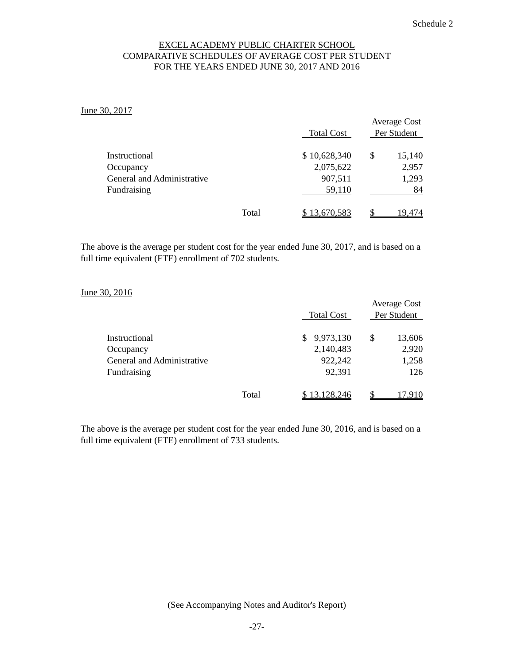### EXCEL ACADEMY PUBLIC CHARTER SCHOOL SCHEDULE OF EXPENDITURES OF FEDERAL AWARDS FOR THE YEAR ENDED JUNE 30, 2017

| Summary by CFDA                                                    |         |                                  |  |
|--------------------------------------------------------------------|---------|----------------------------------|--|
| Programs                                                           | CFDA#   | Amount of<br><b>Expenditures</b> |  |
| Title I, Part A, Grants to Local Educational Agencies              | 84.010A | \$<br>417,731                    |  |
| Special Education - IDEA 611, Grants to Local Education Agencies   | 84.027A | 74,699                           |  |
| Special Education - IDEA 619, Preschool Grants to Local            |         |                                  |  |
| <b>Education Agencies</b>                                          | 84.173A | 419                              |  |
| Title II, Part A, Preparing, Training, and Recruiting High Quality |         |                                  |  |
| <b>Teachers and Principals</b>                                     | 84.367A | 138,809                          |  |
| DC School Choice Incentive Program                                 | 84.370C | 30,500                           |  |
| <b>Donated Commodities</b>                                         | 10.555  | 31,292                           |  |
| School Breakfast Program                                           | 10.553  | 141,849                          |  |
| National School Lunch Program                                      | 10.555  | 310,558                          |  |
| Child and Adult Care Food Programs                                 | 10.558  | 60,335                           |  |
| <b>Fresh Fruits and Vegetables</b>                                 | 10.582  | 41,675                           |  |
| <b>Total Federal Awards</b>                                        |         | <u>.247,867</u>                  |  |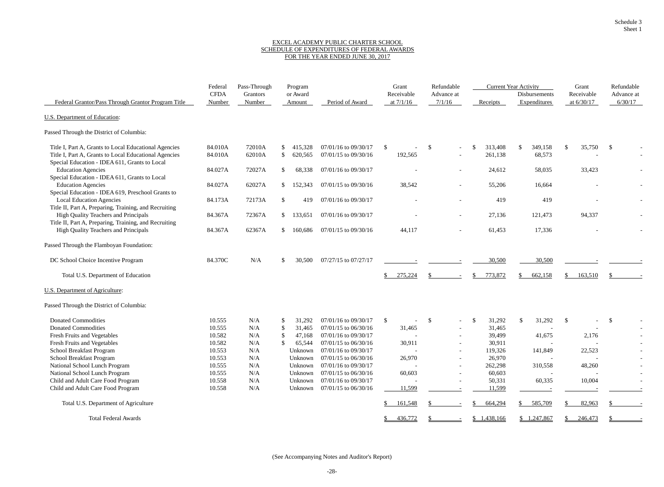### EXCEL ACADEMY PUBLIC CHARTER SCHOOL NOTES TO SCHEDULE OF EXPENDITURES OF FEDERAL AWARDS FOR THE YEAR ENDED JUNE 30, 2017

### Note 1 - Basis of Presentation:

The accompanying schedule of expenditures of federal awards (the Schedule) includes the federal award activity of the Excel Academy Public Charter School (the Charter School) under programs of the federal government for the year ended June 30, 2017. The information in this Schedule is presented in accordance with the requirements of Title 2 U.S. *Code of Federal Regulations* Part 200, *Uniform Administrative Requirements, Cost Principles, and Audit Requirements for Federal Awards* (Uniform Guidance). Because the Schedule presents only a selected portion of the operations of the Charter School, it is not intended to and does not present the financial position, changes in net assets, or cash flows of the Charter School.

#### Note 2 - Summary of Significant Account Policies:

Expenditures reported on the Schedule are reported on the accrual basis of accounting. Such expenditures are recognized following the cost principles contained in the Uniform Guidance, wherein certain types of expenditures are not allowable or are limited as to reimbursement.

The Charter School has elected not to use the 10 percent de minimis indirect cost rate as allowed under the Uniform Guidance.

#### Note 3 - Major Program Selection:

The major Federal Award Programs selected for testing is as follows:

### U.S. Department of Agriculture

- School Breakfast and National School Lunch Program

#### U.S. Department of Education

- Title I, Part A, Grants to Local Educational Agencies

The requirements of the Office of Management and Budget Uniform Guidance prescribe that all major programs as determined by the auditor on a risk-based approach and/or at least 40% (20% for low risk auditees) of all federal awards be subject to specific control and compliance testing. For the Excel Academy Public Charter School, the programs subject to these requirements are as listed above. The total expenditures of these programs represent 72.24% of the total federal expenditures.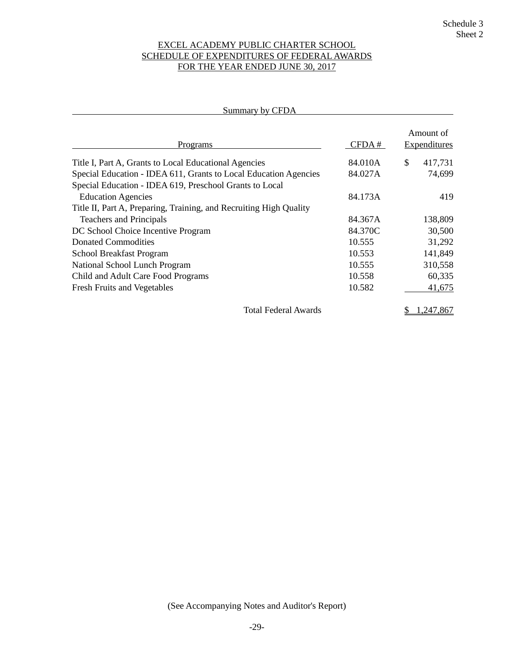### EXCEL ACADEMY PUBLIC CHARTER SCHOOL NOTES TO SCHEDULE OF EXPENDITURES OF FEDERAL AWARDS FOR THE YEAR ENDED JUNE 30, 2017

### Note 3 - Major Program Selection: (Continued)

| Programs                                              | CFDA#          | Amount of<br><b>Expenditures</b> |  |  |
|-------------------------------------------------------|----------------|----------------------------------|--|--|
| Title I, Part A, Grants to Local Educational Agencies | \$<br>417,731* |                                  |  |  |
| Special Education - IDEA 611, Grants to Local         |                |                                  |  |  |
| <b>Education Agencies</b>                             | 84.027A        | 74,699                           |  |  |
| Special Education - IDEA 619, Preschool Grants to     |                |                                  |  |  |
| <b>Local Education Agencies</b>                       | 84.173A        | 419                              |  |  |
| Title II, Part A, Preparing, Training, and Recruiting |                |                                  |  |  |
| <b>High Quality Teachers and Principals</b>           | 84.367A        | 138,809                          |  |  |
| DC School Choice Incentive Program                    | 84.370C        | 30,500                           |  |  |
| <b>Donated Commodities</b>                            | 10.555         | 31,292*                          |  |  |
| School Breakfast Program                              | 10.553         | 141,849*                         |  |  |
| National School Lunch Program                         | 10.555         | 310,558*                         |  |  |
| Child and Adult Care Food Programs                    | 10.558         | 60,335                           |  |  |
| Fresh Fruits and Vegetables                           | 10.582         | 41,675                           |  |  |
| Total Federal Awards                                  |                | .247.867                         |  |  |

\* Denotes Major Program

### Note 4 - Food Commodities:

Nonmonetary assistance is reported in the Schedule at fair market value of the commoditites received and disbursed.

### Note 5 - Major Program Disclosure:

- I. U.S. Department of Agriculture
	- 1) School Breakfast and National School Lunch Program

The objectives of the child nutrition cluster programs are to: (1) assist states in administering food services that provide healthful, nutritious meals to eligible children in public and non-profit private schools, residential childcare institutions, and summer recreation programs; and (2) encourage the domestic consumption of nutritious agricultural commodities.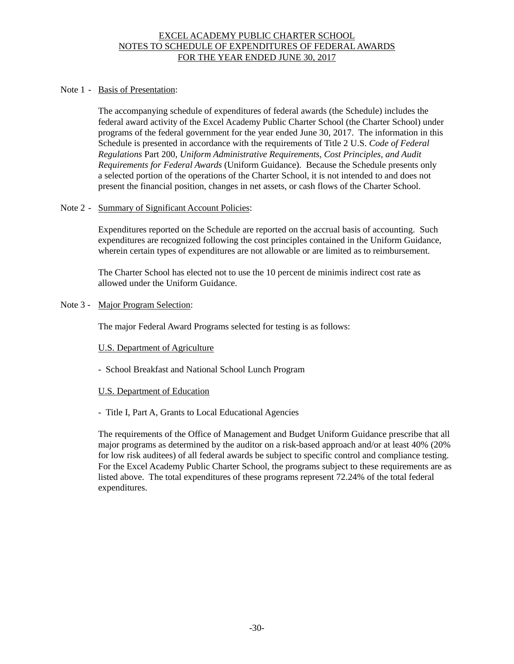### EXCEL ACADEMY PUBLIC CHARTER SCHOOL NOTES TO SCHEDULE OF EXPENDITURES OF FEDERAL AWARDS FOR THE YEAR ENDED JUNE 30, 2017

### Note 5 - Major Program Disclosure: (Continued)

- II. U.S. Department of Education:
	- 1) Title I, Part A to Local Educational Agencies

The Elementary and Secondary Education Act of 1965, as amended by the No Child Left Behind Act, provides for a comprehensive overhaul of Federal support for education, and restructures how these programs provide services.

Under the No Child Left Behind Act, Federal education programs authorized in the Elementary and Secondary Education Act (ESEA) of 1965 are designed to work in concert with each other, rather than separately. By emphasizing program coordination, planning, and service delivery among Federal programs and enhancing integration with state and local instructional programs, the ESEA reinforces comprehensive state and local educational reform efforts geared toward ensuring that all children can meet challenging state standards regardless of their background or the school they attend.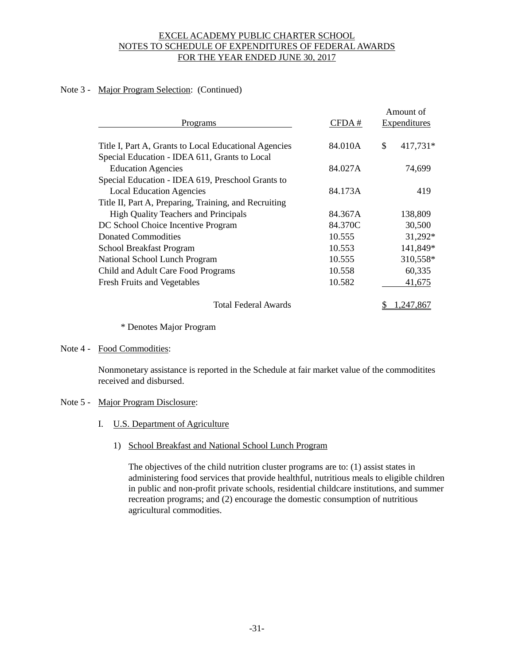Board of Trustees Excel Academy Public Charter School 2501 Martin Luther King, Jr., Avenue, SE Washington, DC 20020

### INDEPENDENT AUDITOR'S REPORT ON INTERNAL CONTROL OVER FINANCIAL REPORTING AND ON COMPLIANCE AND OTHER MATTERS BASED ON AN AUDIT OF FINANCIAL STATEMENTS PERFORMED IN ACCORDANCE WITH *GOVERNMENT AUDITING STANDARDS*

We have audited in accordance with auditing standards generally accepted in the United States of America and the standards applicable to financial audits contained in *Government Auditing Standards*, issued by the Comptroller General of the United States, the financial statements of Excel Academy Public Charter School (a nonprofit organization), which comprise the statement of financial position as of June 30, 2017, and the related statements of activities and cash flows for the year then ended, and the related notes to the financial statements, and have issued our report thereon dated November 29, 2017.

# *Internal Control Over Financial Reporting*

In planning and performing our audit of the financial statements, we considered Excel Academy Public Charter School's internal control over financial reporting (internal control) to determine the audit procedures that are appropriate in the circumstances for the purpose of expressing our opinion on the financial statements, but not for the purpose of expressing an opinion on the effectiveness of Excel Academy Public Charter School's internal control. Accordingly, we do not express an opinion on the effectiveness of the Excel Academy Public Charter School's internal control.

A *deficiency in internal control* exists when the design or operation of a control does not allow management or employees, in the normal course of performing their assigned functions, to prevent, or detect and correct, misstatements on a timely basis. A *material weakness* is a deficiency, or a combination of deficiencies, in internal control, such that there is a reasonable possibility that a material misstatement of the entity's financial statements will not be prevented, or detected and corrected on a timely basis. A *significant deficiency* is a deficiency, or a combination of deficiencies, in internal control that is less severe than a material weakness, yet important enough to merit attention by those charged with governance.

Our consideration of internal control was for the limited purpose described in the first paragraph of this section and was not designed to identify all deficiencies in internal control that might be material weaknesses or significant deficiencies. Given these limitations, during our audit we did not identify any deficiencies in internal control that we consider to be material weaknesses. However, material weaknesses may exist that have not been identified.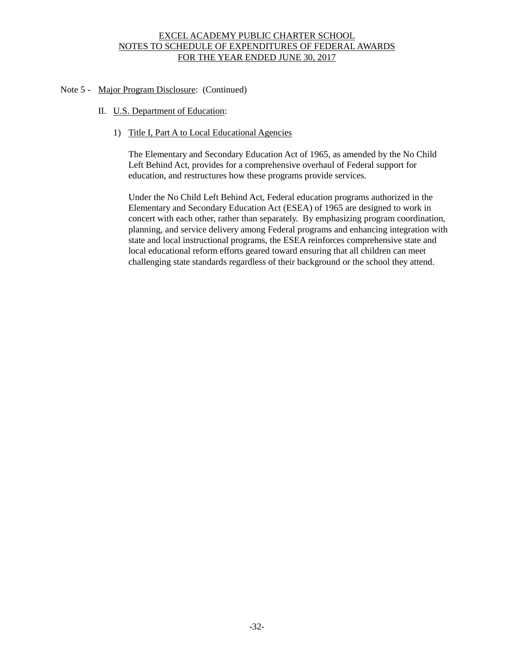# *Compliance and Other Matters*

As part of obtaining reasonable assurance about whether Excel Academy Public Charter School's financial statements are free from material misstatement, we performed tests of its compliance with certain provisions of laws, regulations, contracts and grant agreements, noncompliance with which could have a direct and material effect on the determination of financial statement amounts. However, providing an opinion on compliance with those provisions was not an objective of our audit and accordingly, we do not express such an opinion. The results of our tests disclosed no instances of noncompliance or other matters that are required to be reported under *Government Auditing Standards*.

# *Purpose of this Report*

The purpose of this report is solely to describe the scope of our testing of internal control and compliance and the results of that testing, and not to provide an opinion on the effectiveness of the entity's internal control or on compliance. This report is an integral part of an audit performed in accordance with *Government Auditing Standards* in considering the organization's internal control and compliance. Accordingly, this communication is not suitable for any other purpose.

> Kendall, Prebola and Jones Certified Public Accountants

Bedford, Pennsylvania November 29, 2017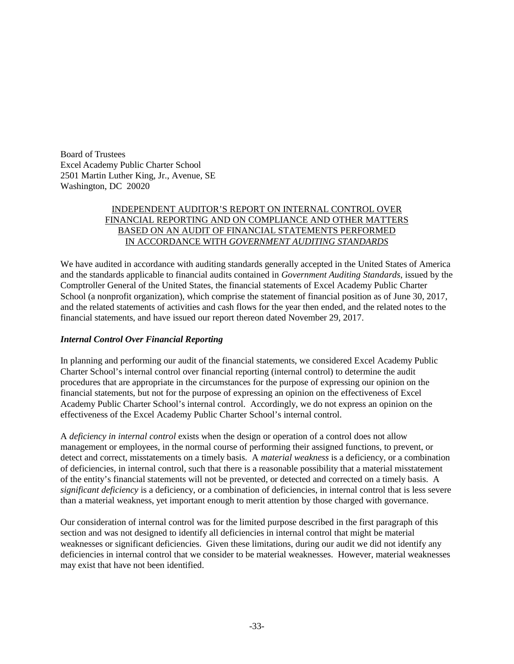Board of Trustees Excel Academy Public Charter School 2501 Martin Luther King, Jr., Avenue, SE Washington, DC 20020

#### INDEPENDENT AUDITOR'S REPORT ON COMPLIANCE FOR EACH MAJOR PROGRAM AND ON INTERNAL CONTROL OVER COMPLIANCE REQUIRED BY THE UNIFORM GUIDANCE

### *Report on Compliance for Each Major Federal Program*

We have audited Excel Academy Public Charter School's compliance with the types of compliance requirements described in the *OMB Compliance Supplement* that could have a direct and material effect on each of Excel Academy Public Charter School's major federal programs for the year ended June 30, 2017. Excel Academy Public Charter School's major federal programs are identified in the summary of auditor's results section of the accompanying schedule of findings and questioned costs.

### *Management's Responsibility*

Management is responsible for compliance with federal statutes, regulations, and the terms and conditions of its federal awards applicable to its federal programs.

### *Auditor's Responsibility*

Our responsibility is to express an opinion on compliance for each Excel Academy Public Charter School's major federal programs based on our audit of the types of compliance requirements referred to above. We conducted our audit of compliance in accordance with auditing standards generally accepted in the United States of America; the standards applicable to financial audits contained in *Government Auditing Standards*, issued by the Comptroller General of the United States; the audit requirements of Title 2 U.S. *Code of Federal Regulations* Part 200, *Uniform Administrative Requirements, Cost Principles, and Audit Requirements for Federal Awards* (Uniform Guidance). Those standards and the Uniform Guidance require that we plan and perform the audit to obtain reasonable assurance about whether noncompliance with the types of compliance requirements referred to above that could have a direct and material effect on a major federal program occurred. An audit includes examining, on a test basis, evidence about Excel Academy Public Charter School's compliance with those requirements and performing such other procedures as we considered necessary in the circumstances.

We believe that our audit provides a reasonable basis for our opinion on compliance for each major federal program. However, our audit does not provide a legal determination of Excel Academy Public Charter School's compliance.

### *Opinion on Each Major Federal Program*

In our opinion, Excel Academy Public Charter School's complied, in all material respects, with the types of compliance requirements referred to above that could have a direct and material effect on each of its major federal programs for the year ended June 30, 2017.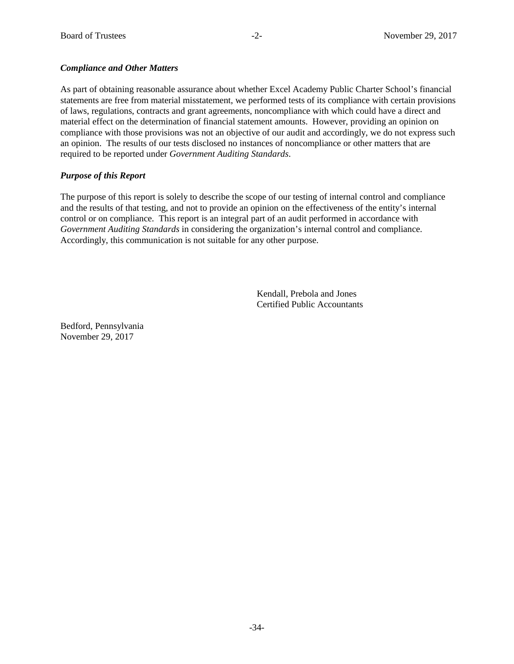### *Report on Internal Control over Compliance*

Management of Excel Academy Public Charter School is responsible for establishing and maintaining effective internal control over compliance with the types of compliance requirements referred to above. In planning and performing our audit of compliance, we considered Excel Academy Public Charter School's internal control over compliance with the types of requirements that could have a direct and material effect on each major federal program to determine the auditing procedures that are appropriate in the circumstances for the purpose of expressing an opinion on compliance for each major federal program and to test and report on internal control over compliance in accordance with the Uniform Guidance, but not for the purpose of expressing an opinion on the effectiveness of internal control over compliance. Accordingly, we do not express an opinion on the effectiveness of Excel Academy Public Charter School's internal control over compliance.

A *deficiency in internal control over compliance* exists when the design or operation of a control over compliance does not allow management or employees, in the normal course of performing their assigned functions, to prevent, or detect and correct, noncompliance with a type of compliance requirement of a federal program on a timely basis. A *material weakness in internal control over compliance* is a deficiency, or a combination of deficiencies, in internal control over compliance, such that there is a reasonable possibility that material noncompliance with a type of compliance requirement of a federal program will not be prevented, or detected and corrected, on a timely basis. A *significant deficiency in internal control over compliance* is a deficiency, or a combination of deficiencies, in internal control over compliance with a type of compliance requirement of a federal program that is less severe than a material weakness in internal control over compliance, yet important enough to merit attention by those charged with governance.

Our consideration of internal control over compliance was for the limited purpose described in the first paragraph of this section and was not designed to identify all deficiencies in internal control over compliance that might be material weaknesses or significant deficiencies and therefore, material weaknesses or significant deficiencies may exist that have not been identified. We did not identify any deficiencies in internal control over compliance that we consider to be material weaknesses. However, we identified a deficiency in internal control over compliance, as described in the accompanying schedule of findings and questioned costs as item 2017-001 that we consider to be a significant deficiency.

Excel Academy Public Charter School's response to the internal control over compliance findings identified in our audit is described in the accompanying schedule of findings and questioned costs. Excel Academy Public Charter School's response was not subjected to the auditing procedures applied in the audit of compliance and, accordingly, we express no opinion on the response

The purpose of this report on internal control over compliance is solely to describe the scope of our testing of internal control over compliance and the results of that testing based on the requirements of the Uniform Guidance. Accordingly, this report is not suitable for any other purpose.

> Kendall, Prebola and Jones Certified Public Accountants

Bedford, Pennsylvania November 29, 2017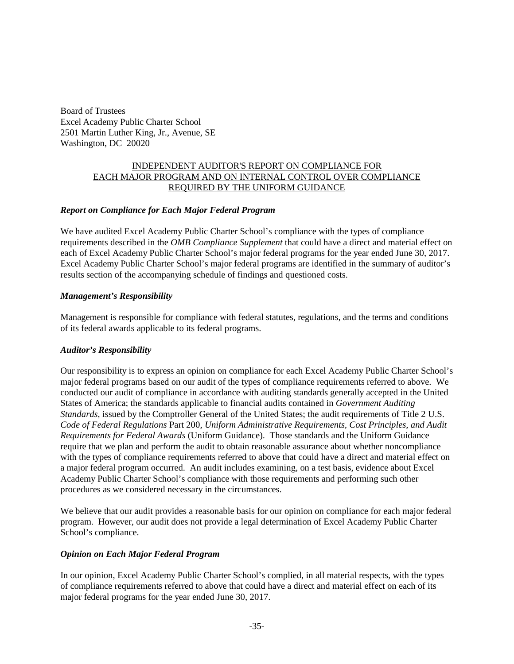# EXCEL ACADEMY PUBLIC CHARTER SCHOOL SUMMARY SCHEDULE OF PRIOR AUDIT FINDINGS FOR THE YEAR ENDED JUNE 30, 2017

There were no findings in the prior year.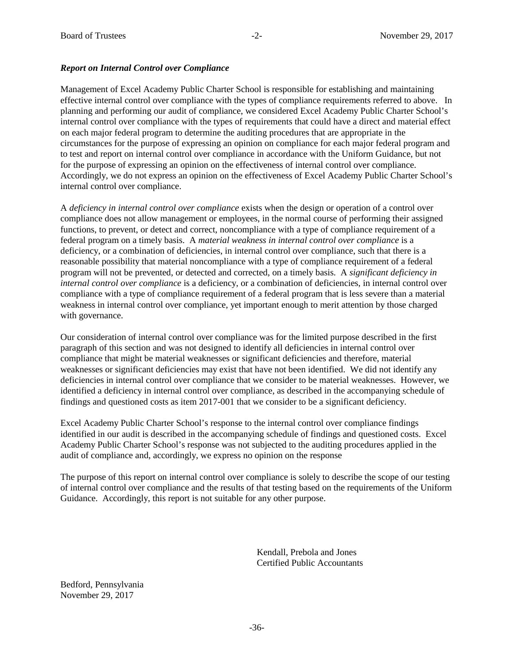### EXCEL ACADEMY PUBLIC CHARTER SCHOOL SCHEDULE OF FINDINGS AND QUESTIONED COSTS FOR THE YEAR ENDED JUNE 30, 2017

### I. Summary of Audit Results

- a. The auditor's report expresses an unmodified opinion on whether the financial statements of the Excel Academy Public Charter School were prepared in accordance with generally accepted accounting principles.
- b. No significant deficiencies relating to the audit of the financial statements have been reported.
- c. No instances of noncompliance material to the financial statements of the Excel Academy Public Charter School, which would be required to be reported in accordance with *Government Auditing Standards*, were disclosed during the audit.
- d. One significant deficiency relating to the audit of the major federal award programs has been reported. (2017-001)
- e. The auditor's report on compliance for the major federal award programs for Excel Academy Public Charter School expresses an unmodified opinion.
- f. There is one audit finding that is required to be reported in accordance with section 2 CFR Section 200.516 (a) of the Uniform Guidance in the schedule of findings and questioned costs.
- g. The major programs of the Excel Academy Public Charter School were as follows:

| Programs                                              | CFDA#         |
|-------------------------------------------------------|---------------|
| National School Lunch and Breakfast Program           | 10.553/10.555 |
| Title I, Part A, Grants to Local Educational Agencies | 84.010A       |

- h. The dollar threshold utilized to determine Type A programs was \$750,000.
- i. The Excel Academy Public Charter School did not qualify as a low-risk auditee.
- II. Findings relating to the financial statements which are required to be reported in accordance with *Government Auditing Standards*

There were no findings in the current year.

III. Findings relating to federal awards, which are required to be reported in accordance with the Uniform Guidance

### SCHOOL BREAKFAST AND NATIONAL SCHOOL LUNCH PROGRAM: U.S. DEPARTMENT OF AGRICULTURE: CFDA NUMBERS 10.553 AND 10.555

2017-001 Condition - During audit testing as it related to the National School Lunch and Breakfast Program, documentation was requested to verify that the meal count numbers by category as derived at the point of contact agreed with the meal count numbers as submitted for reimbursement to the Office of the State Superintendent of Education (OSSE). Excel Academy utilizes a software program called PowerSchool to determine the daily meal counts which then rolls up into a cumulative meal count for the month.